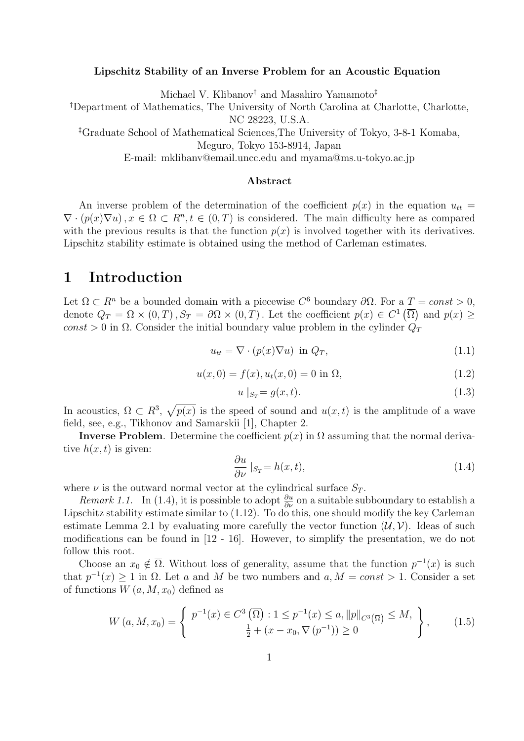#### Lipschitz Stability of an Inverse Problem for an Acoustic Equation

Michael V. Klibanov† and Masahiro Yamamoto‡

†Department of Mathematics, The University of North Carolina at Charlotte, Charlotte, NC 28223, U.S.A.

‡Graduate School of Mathematical Sciences,The University of Tokyo, 3-8-1 Komaba,

Meguro, Tokyo 153-8914, Japan

E-mail: mklibanv@email.uncc.edu and myama@ms.u-tokyo.ac.jp

#### Abstract

An inverse problem of the determination of the coefficient  $p(x)$  in the equation  $u_{tt} =$  $\nabla \cdot (p(x)\nabla u), x \in \Omega \subset R^n, t \in (0,T)$  is considered. The main difficulty here as compared with the previous results is that the function  $p(x)$  is involved together with its derivatives. Lipschitz stability estimate is obtained using the method of Carleman estimates.

## 1 Introduction

Let  $\Omega \subset R^n$  be a bounded domain with a piecewise  $C^6$  boundary  $\partial \Omega$ . For a  $T = const > 0$ , denote  $Q_T = \Omega \times (0,T)$ ,  $S_T = \partial \Omega \times (0,T)$ . Let the coefficient  $p(x) \in C^1(\overline{\Omega})$  and  $p(x) \ge$ const > 0 in  $\Omega$ . Consider the initial boundary value problem in the cylinder  $Q_T$ 

$$
u_{tt} = \nabla \cdot (p(x)\nabla u) \text{ in } Q_T,
$$
\n(1.1)

$$
u(x,0) = f(x), u_t(x,0) = 0 \text{ in } \Omega,
$$
\n(1.2)

$$
u\mid_{S_T} = g(x,t). \tag{1.3}
$$

In acoustics,  $\Omega \subset R^3$ ,  $\sqrt{p(x)}$  is the speed of sound and  $u(x,t)$  is the amplitude of a wave field, see, e.g., Tikhonov and Samarskii [1], Chapter 2.

**Inverse Problem.** Determine the coefficient  $p(x)$  in  $\Omega$  assuming that the normal derivative  $h(x, t)$  is given:

$$
\frac{\partial u}{\partial \nu}|_{S_T} = h(x, t),\tag{1.4}
$$

where  $\nu$  is the outward normal vector at the cylindrical surface  $S_T$ .

*Remark 1.1.* In (1.4), it is possinble to adopt  $\frac{\partial u}{\partial \nu}$  on a suitable subboundary to establish a Lipschitz stability estimate similar to (1.12). To do this, one should modify the key Carleman estimate Lemma 2.1 by evaluating more carefully the vector function  $(\mathcal{U}, \mathcal{V})$ . Ideas of such modifications can be found in [12 - 16]. However, to simplify the presentation, we do not follow this root.

Choose an  $x_0 \notin \overline{\Omega}$ . Without loss of generality, assume that the function  $p^{-1}(x)$  is such that  $p^{-1}(x) \ge 1$  in  $\Omega$ . Let a and M be two numbers and  $a, M = const > 1$ . Consider a set of functions  $W(a, M, x_0)$  defined as

$$
W\left(a,M,x_0\right) = \left\{ \begin{array}{c} p^{-1}(x) \in C^3\left(\overline{\Omega}\right) : 1 \le p^{-1}(x) \le a, \|p\|_{C^3\left(\overline{\Omega}\right)} \le M, \\ \frac{1}{2} + (x - x_0, \nabla\left(p^{-1}\right)) \ge 0 \end{array} \right\},\tag{1.5}
$$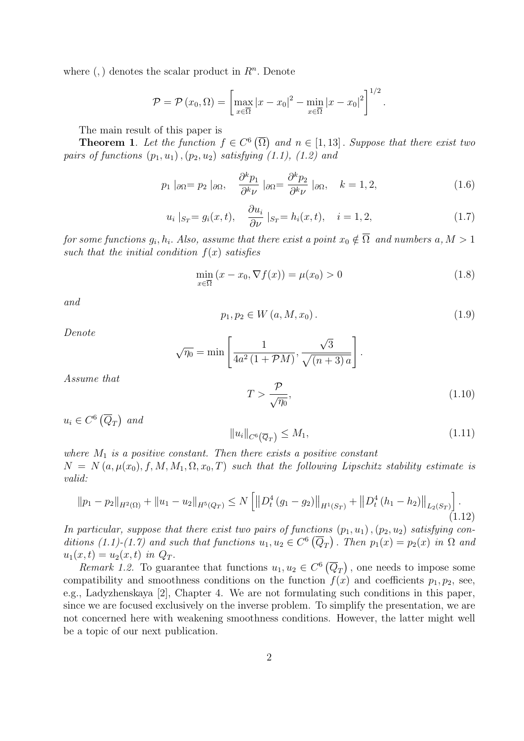where  $(,)$  denotes the scalar product in  $R<sup>n</sup>$ . Denote

$$
\mathcal{P} = \mathcal{P}(x_0, \Omega) = \left[\max_{x \in \overline{\Omega}} |x - x_0|^2 - \min_{x \in \overline{\Omega}} |x - x_0|^2\right]^{1/2}.
$$

The main result of this paper is

**Theorem 1.** Let the function  $f \in C^6(\overline{\Omega})$  and  $n \in [1, 13]$ . Suppose that there exist two pairs of functions  $(p_1, u_1), (p_2, u_2)$  satisfying  $(1.1), (1.2)$  and

$$
p_1 \mid_{\partial\Omega} = p_2 \mid_{\partial\Omega}, \quad \frac{\partial^k p_1}{\partial^k \nu} \mid_{\partial\Omega} = \frac{\partial^k p_2}{\partial^k \nu} \mid_{\partial\Omega}, \quad k = 1, 2,
$$
\n(1.6)

$$
u_i |_{S_T} = g_i(x, t), \quad \frac{\partial u_i}{\partial \nu} |_{S_T} = h_i(x, t), \quad i = 1, 2,
$$
 (1.7)

for some functions  $g_i, h_i$ . Also, assume that there exist a point  $x_0 \notin \overline{\Omega} \,$  and numbers  $a, M > 1$ such that the initial condition  $f(x)$  satisfies

$$
\min_{x \in \overline{\Omega}} (x - x_0, \nabla f(x)) = \mu(x_0) > 0 \tag{1.8}
$$

and

$$
p_1, p_2 \in W(a, M, x_0). \tag{1.9}
$$

Denote

$$
\sqrt{\eta_0} = \min\left[\frac{1}{4a^2(1+\mathcal{P}M)}, \frac{\sqrt{3}}{\sqrt{(n+3)a}}\right].
$$

Assume that

$$
T > \frac{\mathcal{P}}{\sqrt{\eta_0}},\tag{1.10}
$$

 $u_i \in C^6(\overline{Q}_T)$  and

$$
||u_i||_{C^6(\overline{Q}_T)} \le M_1,
$$
\n(1.11)

where  $M_1$  is a positive constant. Then there exists a positive constant  $N = N(a, \mu(x_0), f, M, M_1, \Omega, x_0, T)$  such that the following Lipschitz stability estimate is valid:

$$
||p_1 - p_2||_{H^2(\Omega)} + ||u_1 - u_2||_{H^5(Q_T)} \le N \left[ ||D_t^4 (g_1 - g_2)||_{H^1(S_T)} + ||D_t^4 (h_1 - h_2)||_{L_2(S_T)} \right].
$$
\n(1.12)

In particular, suppose that there exist two pairs of functions  $(p_1, u_1)$ ,  $(p_2, u_2)$  satisfying conditions (1.1)-(1.7) and such that functions  $u_1, u_2 \in C^6(\overline{Q}_T)$ . Then  $p_1(x) = p_2(x)$  in  $\Omega$  and  $u_1(x, t) = u_2(x, t)$  in  $Q_T$ .

Remark 1.2. To guarantee that functions  $u_1, u_2 \in C^6(\overline{Q}_T)$ , one needs to impose some compatibility and smoothness conditions on the function  $f(x)$  and coefficients  $p_1, p_2$ , see, e.g., Ladyzhenskaya [2], Chapter 4. We are not formulating such conditions in this paper, since we are focused exclusively on the inverse problem. To simplify the presentation, we are not concerned here with weakening smoothness conditions. However, the latter might well be a topic of our next publication.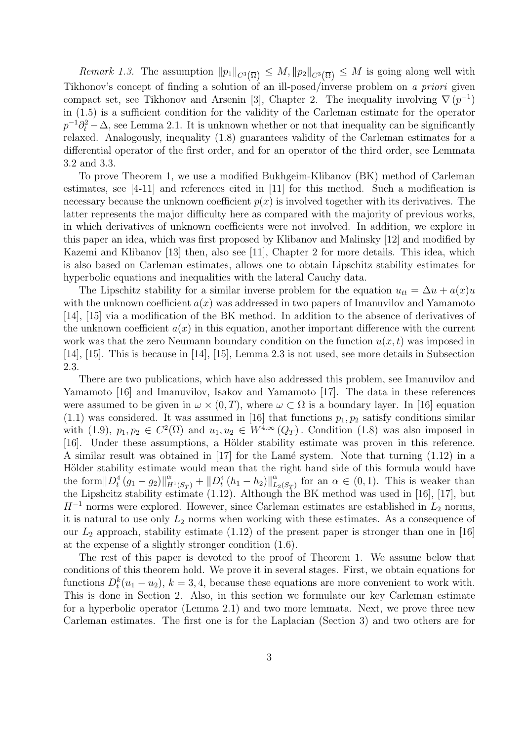*Remark 1.3.* The assumption  $||p_1||_{C^3(\overline{\Omega})} \leq M$ ,  $||p_2||_{C^3(\overline{\Omega})} \leq M$  is going along well with Tikhonov's concept of finding a solution of an ill-posed/inverse problem on a priori given compact set, see Tikhonov and Arsenin [3], Chapter 2. The inequality involving  $\nabla (p^{-1})$ in (1.5) is a sufficient condition for the validity of the Carleman estimate for the operator  $p^{-1}\partial_t^2 - \Delta$ , see Lemma 2.1. It is unknown whether or not that inequality can be significantly relaxed. Analogously, inequality (1.8) guarantees validity of the Carleman estimates for a differential operator of the first order, and for an operator of the third order, see Lemmata 3.2 and 3.3.

To prove Theorem 1, we use a modified Bukhgeim-Klibanov (BK) method of Carleman estimates, see [4-11] and references cited in [11] for this method. Such a modification is necessary because the unknown coefficient  $p(x)$  is involved together with its derivatives. The latter represents the major difficulty here as compared with the majority of previous works, in which derivatives of unknown coefficients were not involved. In addition, we explore in this paper an idea, which was first proposed by Klibanov and Malinsky [12] and modified by Kazemi and Klibanov [13] then, also see [11], Chapter 2 for more details. This idea, which is also based on Carleman estimates, allows one to obtain Lipschitz stability estimates for hyperbolic equations and inequalities with the lateral Cauchy data.

The Lipschitz stability for a similar inverse problem for the equation  $u_{tt} = \Delta u + a(x)u$ with the unknown coefficient  $a(x)$  was addressed in two papers of Imanuvilov and Yamamoto [14], [15] via a modification of the BK method. In addition to the absence of derivatives of the unknown coefficient  $a(x)$  in this equation, another important difference with the current work was that the zero Neumann boundary condition on the function  $u(x, t)$  was imposed in [14], [15]. This is because in [14], [15], Lemma 2.3 is not used, see more details in Subsection 2.3.

There are two publications, which have also addressed this problem, see Imanuvilov and Yamamoto [16] and Imanuvilov, Isakov and Yamamoto [17]. The data in these references were assumed to be given in  $\omega \times (0,T)$ , where  $\omega \subset \Omega$  is a boundary layer. In [16] equation  $(1.1)$  was considered. It was assumed in [16] that functions  $p_1, p_2$  satisfy conditions similar with (1.9),  $p_1, p_2 \in C^2(\overline{\Omega})$  and  $u_1, u_2 \in W^{4,\infty}(Q_T)$ . Condition (1.8) was also imposed in [16]. Under these assumptions, a Hölder stability estimate was proven in this reference. A similar result was obtained in  $\left[17\right]$  for the Lamé system. Note that turning  $(1.12)$  in a Hölder stability estimate would mean that the right hand side of this formula would have the form  $||D_t^4 (g_1 - g_2)||_{H^1(S_T)}^{\alpha} + ||D_t^4 (h_1 - h_2)||_L^{\alpha}$  $L_{2(S_T)}^{\alpha}$  for an  $\alpha \in (0,1)$ . This is weaker than the Lipshcitz stability estimate (1.12). Although the BK method was used in [16], [17], but  $H^{-1}$  norms were explored. However, since Carleman estimates are established in  $L_2$  norms, it is natural to use only  $L_2$  norms when working with these estimates. As a consequence of our  $L_2$  approach, stability estimate (1.12) of the present paper is stronger than one in [16] at the expense of a slightly stronger condition (1.6).

The rest of this paper is devoted to the proof of Theorem 1. We assume below that conditions of this theorem hold. We prove it in several stages. First, we obtain equations for functions  $D_t^k(u_1 - u_2)$ ,  $k = 3, 4$ , because these equations are more convenient to work with. This is done in Section 2. Also, in this section we formulate our key Carleman estimate for a hyperbolic operator (Lemma 2.1) and two more lemmata. Next, we prove three new Carleman estimates. The first one is for the Laplacian (Section 3) and two others are for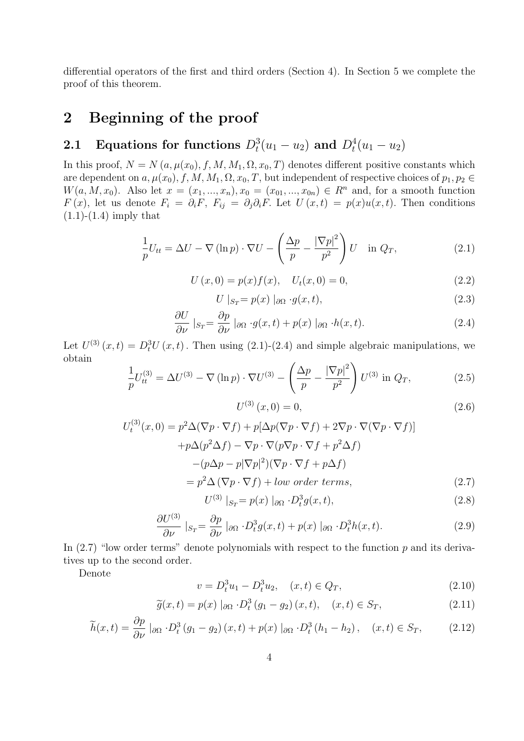differential operators of the first and third orders (Section 4). In Section 5 we complete the proof of this theorem.

# 2 Beginning of the proof

# 2.1 Equations for functions  $D_t^3(u_1-u_2)$  and  $D_t^4(u_1-u_2)$

In this proof,  $N = N(a, \mu(x_0), f, M, M_1, \Omega, x_0, T)$  denotes different positive constants which are dependent on  $a, \mu(x_0), f, M, M_1, \Omega, x_0, T$ , but independent of respective choices of  $p_1, p_2 \in$  $W(a, M, x_0)$ . Also let  $x = (x_1, ..., x_n), x_0 = (x_{01}, ..., x_{0n}) \in R^n$  and, for a smooth function  $F(x)$ , let us denote  $F_i = \partial_i F$ ,  $F_{ij} = \partial_j \partial_i F$ . Let  $U(x,t) = p(x)u(x,t)$ . Then conditions  $(1.1)-(1.4)$  imply that

$$
\frac{1}{p}U_{tt} = \Delta U - \nabla (\ln p) \cdot \nabla U - \left(\frac{\Delta p}{p} - \frac{|\nabla p|^2}{p^2}\right)U \quad \text{in } Q_T,
$$
\n(2.1)

$$
U(x,0) = p(x)f(x), \quad U_t(x,0) = 0,
$$
\n(2.2)

$$
U \mid_{S_T} = p(x) \mid_{\partial \Omega} g(x, t), \tag{2.3}
$$

$$
\frac{\partial U}{\partial \nu}|_{S_T} = \frac{\partial p}{\partial \nu}|_{\partial \Omega} \cdot g(x, t) + p(x) |_{\partial \Omega} \cdot h(x, t). \tag{2.4}
$$

Let  $U^{(3)}(x,t) = D_t^3 U(x,t)$ . Then using (2.1)-(2.4) and simple algebraic manipulations, we obtain

$$
\frac{1}{p}U_{tt}^{(3)} = \Delta U^{(3)} - \nabla (\ln p) \cdot \nabla U^{(3)} - \left(\frac{\Delta p}{p} - \frac{|\nabla p|^2}{p^2}\right) U^{(3)} \text{ in } Q_T,
$$
\n(2.5)

$$
U^{(3)}(x,0) = 0,\t\t(2.6)
$$

$$
U_t^{(3)}(x,0) = p^2 \Delta (\nabla p \cdot \nabla f) + p[\Delta p(\nabla p \cdot \nabla f) + 2\nabla p \cdot \nabla (\nabla p \cdot \nabla f)]
$$
  
+
$$
p\Delta(p^2 \Delta f) - \nabla p \cdot \nabla (p\nabla p \cdot \nabla f + p^2 \Delta f)
$$
  
-
$$
(p\Delta p - p|\nabla p|^2)(\nabla p \cdot \nabla f + p\Delta f)
$$
  
= 
$$
p^2 \Delta (\nabla p \cdot \nabla f) + low \ order \ terms,
$$
 (2.7)

$$
U^{(3)} |_{S_T} = p(x) |_{\partial \Omega} \cdot D_t^3 g(x, t), \qquad (2.8)
$$

$$
\frac{\partial U^{(3)}}{\partial \nu} \mid_{S_T} = \frac{\partial p}{\partial \nu} \mid_{\partial \Omega} \cdot D_t^3 g(x, t) + p(x) \mid_{\partial \Omega} \cdot D_t^3 h(x, t). \tag{2.9}
$$

In  $(2.7)$  "low order terms" denote polynomials with respect to the function p and its derivatives up to the second order.

Denote

$$
v = D_t^3 u_1 - D_t^3 u_2, \quad (x, t) \in Q_T,
$$
\n
$$
(2.10)
$$

$$
\widetilde{g}(x,t) = p(x) \mid_{\partial \Omega} \cdot D_t^3 \left( g_1 - g_2 \right)(x,t), \quad (x,t) \in S_T,
$$
\n(2.11)

$$
\widetilde{h}(x,t) = \frac{\partial p}{\partial \nu} \mid_{\partial \Omega} \cdot D_t^3 \left( g_1 - g_2 \right)(x,t) + p(x) \mid_{\partial \Omega} \cdot D_t^3 \left( h_1 - h_2 \right), \quad (x,t) \in S_T,
$$
\n(2.12)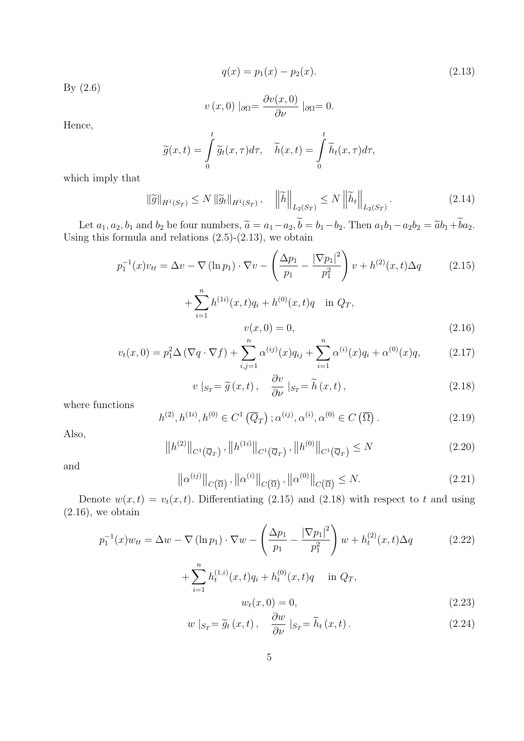$$
q(x) = p_1(x) - p_2(x). \tag{2.13}
$$

By (2.6)

$$
v(x, 0) \mid_{\partial \Omega} = \frac{\partial v(x, 0)}{\partial \nu} \mid_{\partial \Omega} = 0.
$$

Hence,

$$
\widetilde{g}(x,t) = \int_{0}^{t} \widetilde{g}_t(x,\tau)d\tau, \quad \widetilde{h}(x,t) = \int_{0}^{t} \widetilde{h}_t(x,\tau)d\tau,
$$

which imply that

$$
\|\widetilde{g}\|_{H^1(S_T)} \le N \|\widetilde{g}_t\|_{H^1(S_T)}, \quad \left\|\widetilde{h}\right\|_{L_2(S_T)} \le N \left\|\widetilde{h}_t\right\|_{L_2(S_T)}.
$$
\n(2.14)

Let  $a_1, a_2, b_1$  and  $b_2$  be four numbers,  $\tilde{a} = a_1 - a_2, b = b_1 - b_2$ . Then  $a_1b_1 - a_2b_2 = \tilde{a}b_1 + ba_2$ .<br>Using this formula and relations (2.5)-(2.13), we obtain

$$
p_1^{-1}(x)v_{tt} = \Delta v - \nabla (\ln p_1) \cdot \nabla v - \left(\frac{\Delta p_1}{p_1} - \frac{|\nabla p_1|^2}{p_1^2}\right)v + h^{(2)}(x, t)\Delta q \qquad (2.15)
$$

$$
+ \sum_{i=1}^n h^{(1i)}(x, t)q_i + h^{(0)}(x, t)q \quad \text{in } Q_T,
$$

$$
v(x,0) = 0, \t(2.16)
$$

$$
v_t(x,0) = p_1^2 \Delta (\nabla q \cdot \nabla f) + \sum_{i,j=1}^n \alpha^{(ij)}(x) q_{ij} + \sum_{i=1}^n \alpha^{(i)}(x) q_i + \alpha^{(0)}(x) q, \qquad (2.17)
$$

$$
v\mid_{S_T} = \widetilde{g}(x,t), \quad \frac{\partial v}{\partial \nu}\mid_{S_T} = \widetilde{h}(x,t), \tag{2.18}
$$

where functions

$$
h^{(2)}, h^{(1i)}, h^{(0)} \in C^1(\overline{Q}_T) \; ; \; \alpha^{(ij)}, \alpha^{(i)}, \alpha^{(0)} \in C(\overline{\Omega}) \; . \tag{2.19}
$$

Also,

$$
||h^{(2)}||_{C^{1}(\overline{Q}_{T})}, ||h^{(1i)}||_{C^{1}(\overline{Q}_{T})}, ||h^{(0)}||_{C^{1}(\overline{Q}_{T})} \leq N
$$
\n(2.20)

and

$$
\left\|\alpha^{(ij)}\right\|_{C\left(\overline{\Omega}\right)}, \left\|\alpha^{(i)}\right\|_{C\left(\overline{\Omega}\right)}, \left\|\alpha^{(0)}\right\|_{C\left(\overline{\Omega}\right)} \le N. \tag{2.21}
$$

Denote  $w(x,t) = v_t(x,t)$ . Differentiating (2.15) and (2.18) with respect to t and using  $(2.16)$ , we obtain

$$
p_1^{-1}(x)w_{tt} = \Delta w - \nabla (\ln p_1) \cdot \nabla w - \left(\frac{\Delta p_1}{p_1} - \frac{|\nabla p_1|^2}{p_1^2}\right) w + h_t^{(2)}(x, t)\Delta q
$$
  
+ 
$$
\sum_{i=1}^n h_t^{(1,i)}(x, t)q_i + h_t^{(0)}(x, t)q \quad \text{in } Q_T,
$$
 (2.22)

$$
w_t(x,0) = 0, \t\t(2.23)
$$

$$
w |_{S_T} = \widetilde{g}_t(x, t), \quad \frac{\partial w}{\partial \nu} |_{S_T} = \widetilde{h}_t(x, t).
$$
 (2.24)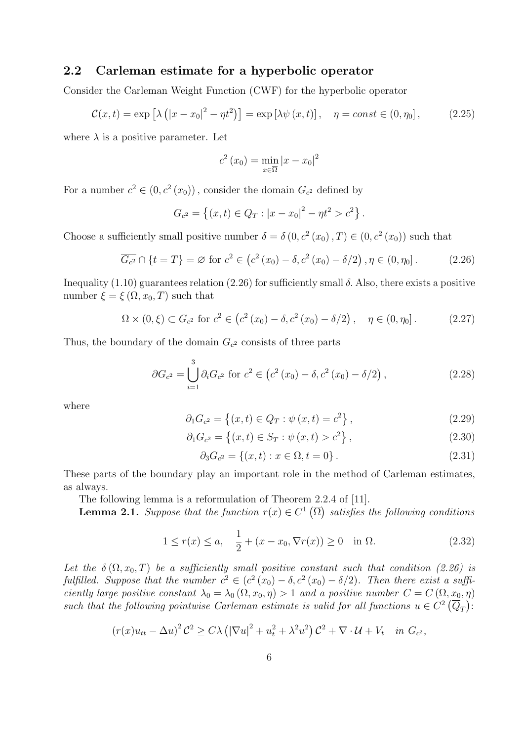### 2.2 Carleman estimate for a hyperbolic operator

Consider the Carleman Weight Function (CWF) for the hyperbolic operator

$$
\mathcal{C}(x,t) = \exp\left[\lambda\left(|x-x_0|^2 - \eta t^2\right)\right] = \exp\left[\lambda\psi\left(x,t\right)\right], \quad \eta = const \in (0,\eta_0],\tag{2.25}
$$

where  $\lambda$  is a positive parameter. Let

$$
c^2(x_0) = \min_{x \in \overline{\Omega}} |x - x_0|^2
$$

For a number  $c^2 \in (0, c^2(x_0))$ , consider the domain  $G_{c^2}$  defined by

$$
G_{c^2} = \{(x, t) \in Q_T : |x - x_0|^2 - \eta t^2 > c^2\}.
$$

Choose a sufficiently small positive number  $\delta = \delta(0, c^2(x_0), T) \in (0, c^2(x_0))$  such that

$$
\overline{G_{c^2}} \cap \{t = T\} = \varnothing \text{ for } c^2 \in (c^2(x_0) - \delta, c^2(x_0) - \delta/2), \eta \in (0, \eta_0].
$$
 (2.26)

Inequality (1.10) guarantees relation (2.26) for sufficiently small δ. Also, there exists a positive number  $\xi = \xi(\Omega, x_0, T)$  such that

$$
\Omega \times (0,\xi) \subset G_{c^2} \text{ for } c^2 \in (c^2(x_0) - \delta, c^2(x_0) - \delta/2), \quad \eta \in (0,\eta_0]. \tag{2.27}
$$

Thus, the boundary of the domain  $G_{c^2}$  consists of three parts

$$
\partial G_{c^2} = \bigcup_{i=1}^3 \partial_i G_{c^2} \text{ for } c^2 \in (c^2(x_0) - \delta, c^2(x_0) - \delta/2), \qquad (2.28)
$$

where

$$
\partial_1 G_{c^2} = \{(x, t) \in Q_T : \psi(x, t) = c^2\},\tag{2.29}
$$

$$
\partial_1 G_{c^2} = \{(x, t) \in S_T : \psi(x, t) > c^2\},\tag{2.30}
$$

$$
\partial_3 G_{c^2} = \{(x, t) : x \in \Omega, t = 0\}.
$$
\n(2.31)

These parts of the boundary play an important role in the method of Carleman estimates, as always.

The following lemma is a reformulation of Theorem 2.2.4 of [11].

**Lemma 2.1.** Suppose that the function  $r(x) \in C^1(\overline{\Omega})$  satisfies the following conditions

$$
1 \le r(x) \le a, \quad \frac{1}{2} + (x - x_0, \nabla r(x)) \ge 0 \quad \text{in } \Omega.
$$
 (2.32)

Let the  $\delta(\Omega, x_0, T)$  be a sufficiently small positive constant such that condition (2.26) is fulfilled. Suppose that the number  $c^2 \in (c^2(x_0) - \delta, c^2(x_0) - \delta/2)$ . Then there exist a sufficiently large positive constant  $\lambda_0 = \lambda_0 (\Omega, x_0, \eta) > 1$  and a positive number  $C = C(\Omega, x_0, \eta)$ such that the following pointwise Carleman estimate is valid for all functions  $u \in C^2(\overline{Q}_T)$ :

$$
(r(x)u_{tt} - \Delta u)^2 \mathcal{C}^2 \ge C\lambda \left( |\nabla u|^2 + u_t^2 + \lambda^2 u^2 \right) \mathcal{C}^2 + \nabla \cdot \mathcal{U} + V_t \quad \text{in } G_{c^2},
$$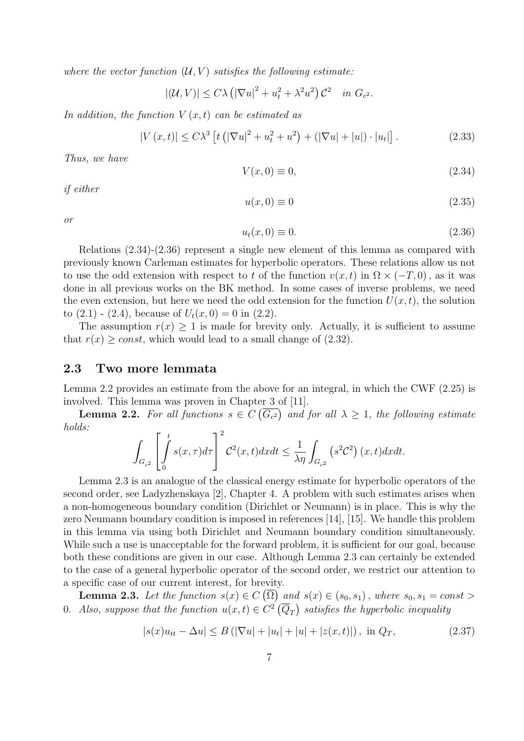where the vector function  $(U, V)$  satisfies the following estimate:

$$
|(\mathcal{U}, V)| \le C\lambda \left( |\nabla u|^2 + u_t^2 + \lambda^2 u^2 \right) \mathcal{C}^2 \quad in \ G_{c^2}.
$$

In addition, the function  $V(x,t)$  can be estimated as

$$
|V(x,t)| \le C\lambda^3 \left[ t \left( |\nabla u|^2 + u_t^2 + u^2 \right) + (|\nabla u| + |u|) \cdot |u_t| \right].
$$
 (2.33)

Thus, we have

$$
V(x,0) \equiv 0,\t\t(2.34)
$$

if either

$$
u(x,0) \equiv 0 \tag{2.35}
$$

or

$$
u_t(x,0) \equiv 0. \tag{2.36}
$$

Relations (2.34)-(2.36) represent a single new element of this lemma as compared with previously known Carleman estimates for hyperbolic operators. These relations allow us not to use the odd extension with respect to t of the function  $v(x, t)$  in  $\Omega \times (-T, 0)$ , as it was done in all previous works on the BK method. In some cases of inverse problems, we need the even extension, but here we need the odd extension for the function  $U(x, t)$ , the solution to  $(2.1)$  -  $(2.4)$ , because of  $U_t(x, 0) = 0$  in  $(2.2)$ .

The assumption  $r(x) \geq 1$  is made for brevity only. Actually, it is sufficient to assume that  $r(x) \geq const$ , which would lead to a small change of (2.32).

### 2.3 Two more lemmata

Lemma 2.2 provides an estimate from the above for an integral, in which the CWF (2.25) is involved. This lemma was proven in Chapter 3 of [11].

**Lemma 2.2.** For all functions  $s \in C(\overline{G_{c2}})$  and for all  $\lambda \geq 1$ , the following estimate holds:

$$
\int_{G_{c^2}} \left[ \int_0^t s(x,\tau) d\tau \right]^2 \mathcal{C}^2(x,t) dx dt \le \frac{1}{\lambda \eta} \int_{G_{c^2}} \left( s^2 \mathcal{C}^2 \right)(x,t) dx dt.
$$

Lemma 2.3 is an analogue of the classical energy estimate for hyperbolic operators of the second order, see Ladyzhenskaya [2], Chapter 4. A problem with such estimates arises when a non-homogeneous boundary condition (Dirichlet or Neumann) is in place. This is why the zero Neumann boundary condition is imposed in references [14], [15]. We handle this problem in this lemma via using both Dirichlet and Neumann boundary condition simultaneously. While such a use is unacceptable for the forward problem, it is sufficient for our goal, because both these conditions are given in our case. Although Lemma 2.3 can certainly be extended to the case of a general hyperbolic operator of the second order, we restrict our attention to a specific case of our current interest, for brevity.

**Lemma 2.3.** Let the function  $s(x) \in C(\overline{\Omega})$  and  $s(x) \in (s_0, s_1)$ , where  $s_0, s_1 = const$ 0. Also, suppose that the function  $u(x,t) \in C^2(\overline{Q}_T)$  satisfies the hyperbolic inequality

$$
|s(x)u_{tt} - \Delta u| \le B\left(|\nabla u| + |u_t| + |u| + |z(x, t)|\right), \text{ in } Q_T,
$$
\n(2.37)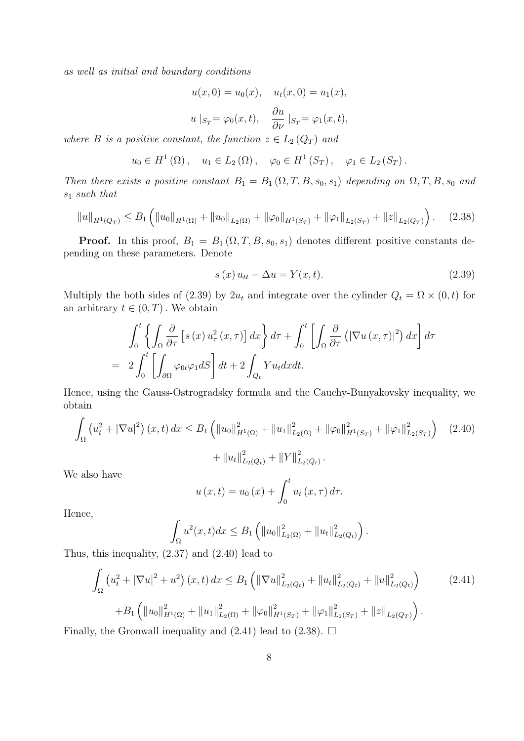as well as initial and boundary conditions

$$
u(x, 0) = u_0(x), \quad u_t(x, 0) = u_1(x),
$$
  

$$
u |_{S_T} = \varphi_0(x, t), \quad \frac{\partial u}{\partial \nu} |_{S_T} = \varphi_1(x, t),
$$

where B is a positive constant, the function  $z \in L_2(Q_T)$  and

$$
u_0 \in H^1(\Omega)
$$
,  $u_1 \in L_2(\Omega)$ ,  $\varphi_0 \in H^1(S_T)$ ,  $\varphi_1 \in L_2(S_T)$ .

Then there exists a positive constant  $B_1 = B_1(\Omega, T, B, s_0, s_1)$  depending on  $\Omega, T, B, s_0$  and  $s_1$  such that

$$
||u||_{H^{1}(Q_{T})} \leq B_{1}\left(||u_{0}||_{H^{1}(\Omega)} + ||u_{0}||_{L_{2}(\Omega)} + ||\varphi_{0}||_{H^{1}(S_{T})} + ||\varphi_{1}||_{L_{2}(S_{T})} + ||z||_{L_{2}(Q_{T})}\right).
$$
 (2.38)

**Proof.** In this proof,  $B_1 = B_1(\Omega, T, B, s_0, s_1)$  denotes different positive constants depending on these parameters. Denote

$$
s(x)u_{tt} - \Delta u = Y(x,t). \tag{2.39}
$$

Multiply the both sides of (2.39) by  $2u_t$  and integrate over the cylinder  $Q_t = \Omega \times (0, t)$  for an arbitrary  $t \in (0, T)$ . We obtain

$$
\int_0^t \left\{ \int_{\Omega} \frac{\partial}{\partial \tau} \left[ s(x) u_{\tau}^2(x, \tau) \right] dx \right\} d\tau + \int_0^t \left[ \int_{\Omega} \frac{\partial}{\partial \tau} \left( \left| \nabla u(x, \tau) \right|^2 \right) dx \right] d\tau
$$
  
= 
$$
2 \int_0^t \left[ \int_{\partial \Omega} \varphi_{0t} \varphi_1 dS \right] dt + 2 \int_{Q_t} Y u_t dx dt.
$$

Hence, using the Gauss-Ostrogradsky formula and the Cauchy-Bunyakovsky inequality, we obtain

$$
\int_{\Omega} \left( u_t^2 + |\nabla u|^2 \right) (x, t) \, dx \le B_1 \left( \|u_0\|_{H^1(\Omega)}^2 + \|u_1\|_{L_2(\Omega)}^2 + \|\varphi_0\|_{H^1(S_T)}^2 + \|\varphi_1\|_{L_2(S_T)}^2 \right) \tag{2.40}
$$
\n
$$
+ \|u_t\|_{L_2(Q_t)}^2 + \|Y\|_{L_2(Q_t)}^2.
$$

We also have

$$
u(x,t) = u_0(x) + \int_0^t u_t(x,\tau) d\tau.
$$

Hence,

$$
\int_{\Omega} u^2(x,t)dx \leq B_1 \left( ||u_0||^2_{L_2(\Omega)} + ||u_t||^2_{L_2(Q_t)} \right).
$$

Thus, this inequality, (2.37) and (2.40) lead to

$$
\int_{\Omega} \left( u_t^2 + |\nabla u|^2 + u^2 \right) (x, t) \, dx \le B_1 \left( \|\nabla u\|_{L_2(Q_t)}^2 + \|u_t\|_{L_2(Q_t)}^2 + \|u\|_{L_2(Q_t)}^2 \right) \tag{2.41}
$$
\n
$$
+ B_1 \left( \|u_0\|_{H^1(\Omega)}^2 + \|u_1\|_{L_2(\Omega)}^2 + \|\varphi_0\|_{H^1(S_T)}^2 + \|\varphi_1\|_{L_2(S_T)}^2 + \|z\|_{L_2(Q_T)} \right).
$$

Finally, the Gronwall inequality and  $(2.41)$  lead to  $(2.38)$ .  $\Box$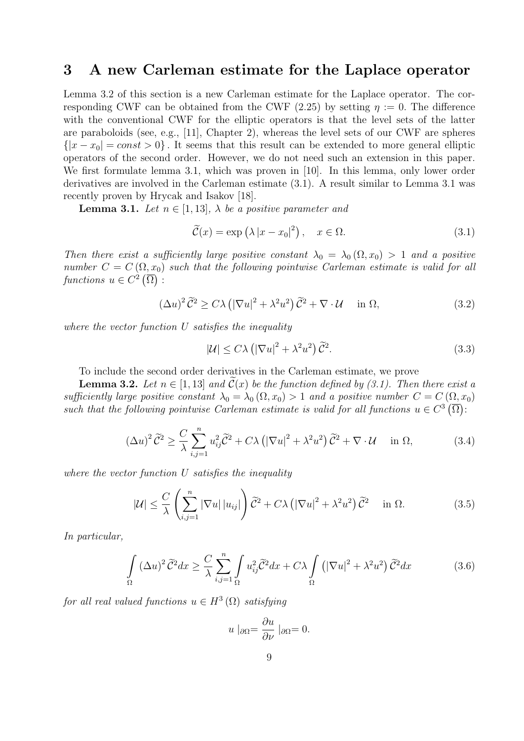# 3 A new Carleman estimate for the Laplace operator

Lemma 3.2 of this section is a new Carleman estimate for the Laplace operator. The corresponding CWF can be obtained from the CWF (2.25) by setting  $\eta := 0$ . The difference with the conventional CWF for the elliptic operators is that the level sets of the latter are paraboloids (see, e.g., [11], Chapter 2), whereas the level sets of our CWF are spheres  $\{|x-x_0| = const > 0\}$ . It seems that this result can be extended to more general elliptic operators of the second order. However, we do not need such an extension in this paper. We first formulate lemma 3.1, which was proven in [10]. In this lemma, only lower order derivatives are involved in the Carleman estimate (3.1). A result similar to Lemma 3.1 was recently proven by Hrycak and Isakov [18].

**Lemma 3.1.** Let  $n \in [1, 13]$ ,  $\lambda$  be a positive parameter and

$$
\widetilde{\mathcal{C}}(x) = \exp\left(\lambda \left|x - x_0\right|^2\right), \quad x \in \Omega. \tag{3.1}
$$

Then there exist a sufficiently large positive constant  $\lambda_0 = \lambda_0 (\Omega, x_0) > 1$  and a positive number  $C = C(\Omega, x_0)$  such that the following pointwise Carleman estimate is valid for all functions  $u \in C^2(\overline{\Omega})$ :

$$
(\Delta u)^2 \tilde{C}^2 \ge C\lambda \left( |\nabla u|^2 + \lambda^2 u^2 \right) \tilde{C}^2 + \nabla \cdot \mathcal{U} \quad \text{in } \Omega,
$$
\n(3.2)

where the vector function U satisfies the inequality

$$
|\mathcal{U}| \le C\lambda \left( |\nabla u|^2 + \lambda^2 u^2 \right) \tilde{\mathcal{C}}^2. \tag{3.3}
$$

To include the second order derivatives in the Carleman estimate, we prove

**Lemma 3.2.** Let  $n \in [1, 13]$  and  $\mathcal{C}(x)$  be the function defined by (3.1). Then there exist a sufficiently large positive constant  $\lambda_0 = \lambda_0 (\Omega, x_0) > 1$  and a positive number  $C = C(\Omega, x_0)$ such that the following pointwise Carleman estimate is valid for all functions  $u \in C^3(\overline{\Omega})$ :

$$
(\Delta u)^2 \tilde{C}^2 \ge \frac{C}{\lambda} \sum_{i,j=1}^n u_{ij}^2 \tilde{C}^2 + C\lambda \left( |\nabla u|^2 + \lambda^2 u^2 \right) \tilde{C}^2 + \nabla \cdot \mathcal{U} \quad \text{in } \Omega,
$$
\n(3.4)

where the vector function U satisfies the inequality

$$
|\mathcal{U}| \leq \frac{C}{\lambda} \left( \sum_{i,j=1}^{n} |\nabla u| |u_{ij}| \right) \widetilde{C}^2 + C\lambda \left( |\nabla u|^2 + \lambda^2 u^2 \right) \widetilde{C}^2 \quad \text{in } \Omega. \tag{3.5}
$$

In particular,

$$
\int_{\Omega} (\Delta u)^2 \tilde{C}^2 dx \ge \frac{C}{\lambda} \sum_{i,j=1}^n \int_{\Omega} u_{ij}^2 \tilde{C}^2 dx + C\lambda \int_{\Omega} (|\nabla u|^2 + \lambda^2 u^2) \tilde{C}^2 dx \tag{3.6}
$$

for all real valued functions  $u \in H^3(\Omega)$  satisfying

$$
u \mid_{\partial \Omega} = \frac{\partial u}{\partial \nu} \mid_{\partial \Omega} = 0.
$$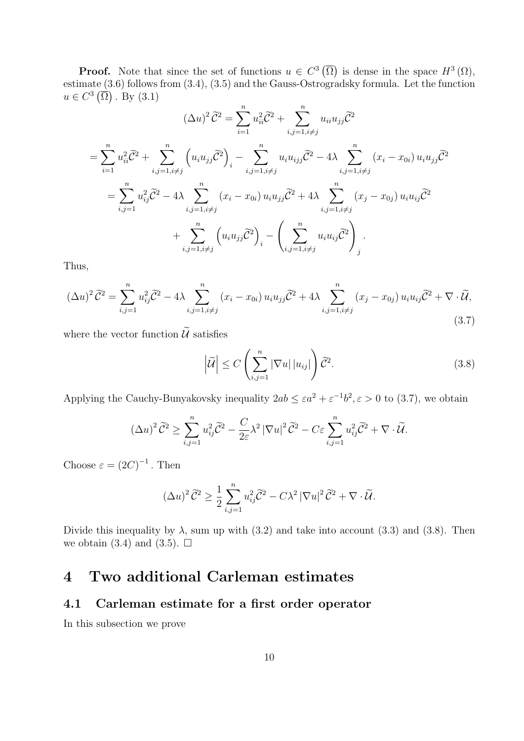**Proof.** Note that since the set of functions  $u \in C^3(\overline{\Omega})$  is dense in the space  $H^3(\Omega)$ , estimate (3.6) follows from (3.4), (3.5) and the Gauss-Ostrogradsky formula. Let the function  $u \in C^3(\overline{\Omega})$ . By  $(3.1)$ 

$$
(\Delta u)^2 \tilde{C}^2 = \sum_{i=1}^n u_{ii}^2 \tilde{C}^2 + \sum_{i,j=1, i \neq j}^n u_{ii} u_{jj} \tilde{C}^2
$$
  
=  $\sum_{i=1}^n u_{ii}^2 \tilde{C}^2 + \sum_{i,j=1, i \neq j}^n \left( u_i u_{jj} \tilde{C}^2 \right)_i - \sum_{i,j=1, i \neq j}^n u_i u_{ijj} \tilde{C}^2 - 4\lambda \sum_{i,j=1, i \neq j}^n (x_i - x_{0i}) u_i u_{jj} \tilde{C}^2$   
=  $\sum_{i,j=1}^n u_{ij}^2 \tilde{C}^2 - 4\lambda \sum_{i,j=1, i \neq j}^n (x_i - x_{0i}) u_i u_{jj} \tilde{C}^2 + 4\lambda \sum_{i,j=1, i \neq j}^n (x_j - x_{0j}) u_i u_{ij} \tilde{C}^2$   
+  $\sum_{i,j=1, i \neq j}^n \left( u_i u_{jj} \tilde{C}^2 \right)_i - \left( \sum_{i,j=1, i \neq j}^n u_i u_{ij} \tilde{C}^2 \right)_j$ 

Thus,

$$
(\Delta u)^2 \tilde{C}^2 = \sum_{i,j=1}^n u_{ij}^2 \tilde{C}^2 - 4\lambda \sum_{i,j=1, i \neq j}^n (x_i - x_{0i}) u_i u_{jj} \tilde{C}^2 + 4\lambda \sum_{i,j=1, i \neq j}^n (x_j - x_{0j}) u_i u_{ij} \tilde{C}^2 + \nabla \cdot \tilde{U},
$$
\n(3.7)

where the vector function  $\widetilde{U}$  satisfies

$$
\left|\widetilde{\mathcal{U}}\right| \le C \left(\sum_{i,j=1}^{n} |\nabla u| \, |u_{ij}|\right) \widetilde{\mathcal{C}}^2. \tag{3.8}
$$

Applying the Cauchy-Bunyakovsky inequality  $2ab \leq \varepsilon a^2 + \varepsilon^{-1} b^2$ ,  $\varepsilon > 0$  to (3.7), we obtain

$$
(\Delta u)^2 \widetilde{C}^2 \ge \sum_{i,j=1}^n u_{ij}^2 \widetilde{C}^2 - \frac{C}{2\varepsilon} \lambda^2 |\nabla u|^2 \widetilde{C}^2 - C\varepsilon \sum_{i,j=1}^n u_{ij}^2 \widetilde{C}^2 + \nabla \cdot \widetilde{\mathcal{U}}.
$$

Choose  $\varepsilon = (2C)^{-1}$ . Then

$$
(\Delta u)^2 \widetilde{C}^2 \ge \frac{1}{2} \sum_{i,j=1}^n u_{ij}^2 \widetilde{C}^2 - C\lambda^2 |\nabla u|^2 \widetilde{C}^2 + \nabla \cdot \widetilde{\mathcal{U}}.
$$

Divide this inequality by  $\lambda$ , sum up with (3.2) and take into account (3.3) and (3.8). Then we obtain (3.4) and (3.5).  $\Box$ 

# 4 Two additional Carleman estimates

## 4.1 Carleman estimate for a first order operator

In this subsection we prove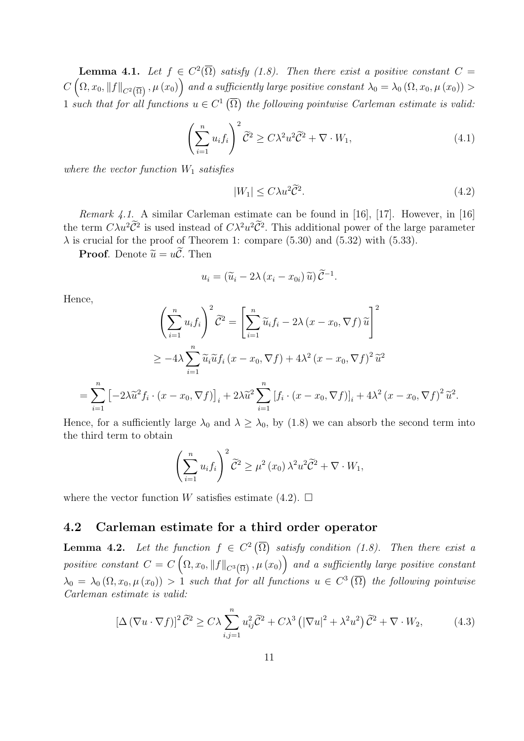**Lemma 4.1.** Let  $f \in C^2(\overline{\Omega})$  satisfy (1.8). Then there exist a positive constant  $C =$  $C\left(\Omega,x_0,\|f\|_{C^2\left(\overline{\Omega}\right)},\mu\left(x_0\right)\right)$  and a sufficiently large positive constant  $\lambda_0=\lambda_0$   $(\Omega,x_0,\mu\left(x_0\right))>$ 1 such that for all functions  $u \in C^1(\overline{\Omega})$  the following pointwise Carleman estimate is valid.

$$
\left(\sum_{i=1}^{n} u_i f_i\right)^2 \widetilde{C}^2 \ge C\lambda^2 u^2 \widetilde{C}^2 + \nabla \cdot W_1,
$$
\n(4.1)

where the vector function  $W_1$  satisfies

$$
|W_1| \le C\lambda u^2 \tilde{C}^2. \tag{4.2}
$$

Remark 4.1. A similar Carleman estimate can be found in [16], [17]. However, in [16] the term  $C\lambda u^2\tilde{C}^2$  is used instead of  $C\lambda^2 u^2\tilde{C}^2$ . This additional power of the large parameter  $\lambda$  is crucial for the proof of Theorem 1: compare (5.30) and (5.32) with (5.33).

**Proof.** Denote  $\widetilde{u} = u\widetilde{c}$ . Then

$$
u_i = (\widetilde{u}_i - 2\lambda (x_i - x_{0i}) \widetilde{u}) \widetilde{C}^{-1}.
$$

Hence,

$$
\left(\sum_{i=1}^{n} u_i f_i\right)^2 \tilde{C}^2 = \left[\sum_{i=1}^{n} \tilde{u}_i f_i - 2\lambda (x - x_0, \nabla f) \tilde{u}\right]^2
$$
  
\n
$$
\geq -4\lambda \sum_{i=1}^{n} \tilde{u}_i \tilde{u} f_i (x - x_0, \nabla f) + 4\lambda^2 (x - x_0, \nabla f)^2 \tilde{u}^2
$$
  
\n
$$
= \sum_{i=1}^{n} \left[-2\lambda \tilde{u}^2 f_i \cdot (x - x_0, \nabla f)\right]_i + 2\lambda \tilde{u}^2 \sum_{i=1}^{n} \left[f_i \cdot (x - x_0, \nabla f)\right]_i + 4\lambda^2 (x - x_0, \nabla f)^2 \tilde{u}^2.
$$

Hence, for a sufficiently large  $\lambda_0$  and  $\lambda \geq \lambda_0$ , by (1.8) we can absorb the second term into the third term to obtain

$$
\left(\sum_{i=1}^n u_i f_i\right)^2 \widetilde{C}^2 \ge \mu^2(x_0) \lambda^2 u^2 \widetilde{C}^2 + \nabla \cdot W_1,
$$

where the vector function W satisfies estimate (4.2).  $\Box$ 

### 4.2 Carleman estimate for a third order operator

**Lemma 4.2.** Let the function  $f \in C^2(\overline{\Omega})$  satisfy condition (1.8). Then there exist a positive constant  $C=C\left(\Omega,x_0,\|f\|_{C^{3}\left(\overline{\Omega}\right)},\mu\left(x_0\right)\right)$  and a sufficiently large positive constant  $\lambda_0 = \lambda_0 (\Omega, x_0, \mu(x_0)) > 1$  such that for all functions  $u \in C^3(\overline{\Omega})$  the following pointwise Carleman estimate is valid:

$$
\left[\Delta\left(\nabla u\cdot\nabla f\right)\right]^2\tilde{\mathcal{C}}^2 \ge C\lambda \sum_{i,j=1}^n u_{ij}^2\tilde{\mathcal{C}}^2 + C\lambda^3\left(\left|\nabla u\right|^2 + \lambda^2 u^2\right)\tilde{\mathcal{C}}^2 + \nabla\cdot W_2,\tag{4.3}
$$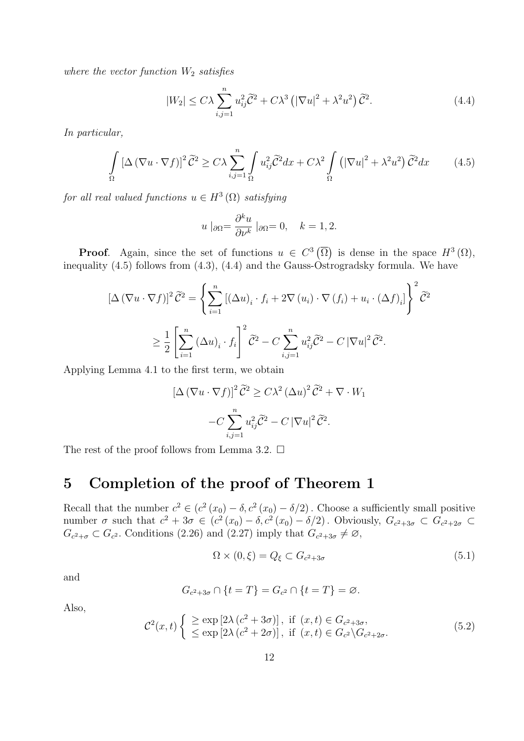where the vector function  $W_2$  satisfies

$$
|W_2| \leq C\lambda \sum_{i,j=1}^n u_{ij}^2 \widetilde{\mathcal{C}}^2 + C\lambda^3 \left( |\nabla u|^2 + \lambda^2 u^2 \right) \widetilde{\mathcal{C}}^2. \tag{4.4}
$$

In particular,

$$
\int_{\Omega} \left[ \Delta \left( \nabla u \cdot \nabla f \right) \right]^2 \tilde{C}^2 \ge C\lambda \sum_{i,j=1}^n \int_{\Omega} u_{ij}^2 \tilde{C}^2 dx + C\lambda^2 \int_{\Omega} \left( \left| \nabla u \right|^2 + \lambda^2 u^2 \right) \tilde{C}^2 dx \tag{4.5}
$$

for all real valued functions  $u \in H^3(\Omega)$  satisfying

$$
u \mid_{\partial\Omega} = \frac{\partial^k u}{\partial \nu^k} \mid_{\partial\Omega} = 0, \quad k = 1, 2.
$$

**Proof.** Again, since the set of functions  $u \in C^3(\overline{\Omega})$  is dense in the space  $H^3(\Omega)$ , inequality (4.5) follows from (4.3), (4.4) and the Gauss-Ostrogradsky formula. We have

$$
\left[\Delta \left(\nabla u \cdot \nabla f\right)\right]^2 \tilde{C}^2 = \left\{ \sum_{i=1}^n \left[ \left(\Delta u\right)_i \cdot f_i + 2\nabla \left(u_i\right) \cdot \nabla \left(f_i\right) + u_i \cdot \left(\Delta f\right)_i \right] \right\}^2 \tilde{C}^2
$$
  

$$
\geq \frac{1}{2} \left[ \sum_{i=1}^n \left(\Delta u\right)_i \cdot f_i \right]^2 \tilde{C}^2 - C \sum_{i,j=1}^n u_{ij}^2 \tilde{C}^2 - C \left| \nabla u \right|^2 \tilde{C}^2.
$$

Applying Lemma 4.1 to the first term, we obtain

$$
[\Delta (\nabla u \cdot \nabla f)]^2 \tilde{C}^2 \ge C\lambda^2 (\Delta u)^2 \tilde{C}^2 + \nabla \cdot W_1
$$

$$
-C \sum_{i,j=1}^n u_{ij}^2 \tilde{C}^2 - C |\nabla u|^2 \tilde{C}^2.
$$

The rest of the proof follows from Lemma 3.2.  $\Box$ 

# 5 Completion of the proof of Theorem 1

Recall that the number  $c^2 \in (c^2(x_0) - \delta, c^2(x_0) - \delta/2)$ . Choose a sufficiently small positive number  $\sigma$  such that  $c^2 + 3\sigma \in (c^2(x_0) - \delta, c^2(x_0) - \delta/2)$ . Obviously,  $G_{c^2+3\sigma} \subset G_{c^2+2\sigma} \subset G$  $G_{c^2+\sigma} \subset G_{c^2}$ . Conditions (2.26) and (2.27) imply that  $G_{c^2+3\sigma} \neq \emptyset$ ,

$$
\Omega \times (0,\xi) = Q_{\xi} \subset G_{c^2+3\sigma} \tag{5.1}
$$

and

$$
G_{c^2+3\sigma} \cap \{t=T\} = G_{c^2} \cap \{t=T\} = \varnothing.
$$

Also,

$$
\mathcal{C}^{2}(x,t) \begin{cases} \geq \exp\left[2\lambda\left(c^{2}+3\sigma\right)\right], \text{ if } (x,t) \in G_{c^{2}+3\sigma}, \\ \leq \exp\left[2\lambda\left(c^{2}+2\sigma\right)\right], \text{ if } (x,t) \in G_{c^{2}}\backslash G_{c^{2}+2\sigma}. \end{cases}
$$
(5.2)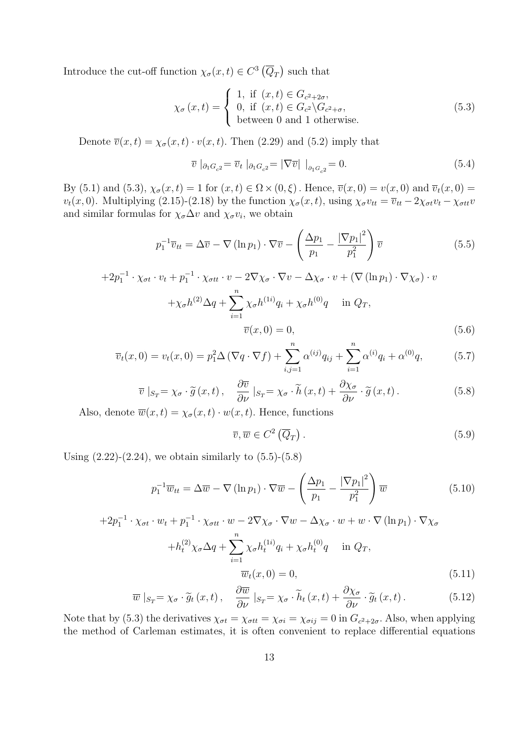Introduce the cut-off function  $\chi_{\sigma}(x,t) \in C^3(\overline{Q}_T)$  such that

$$
\chi_{\sigma}(x,t) = \begin{cases} 1, & \text{if } (x,t) \in G_{c^2+2\sigma}, \\ 0, & \text{if } (x,t) \in G_{c^2} \backslash G_{c^2+\sigma}, \\ \text{between 0 and 1 otherwise.} \end{cases}
$$
(5.3)

Denote  $\overline{v}(x,t) = \chi_{\sigma}(x,t) \cdot v(x,t)$ . Then (2.29) and (5.2) imply that

$$
\overline{v} \mid_{\partial_1 G_{c^2}} = \overline{v}_t \mid_{\partial_1 G_{c^2}} = |\nabla \overline{v}| \mid_{\partial_1 G_{c^2}} = 0. \tag{5.4}
$$

By (5.1) and (5.3),  $\chi_{\sigma}(x,t) = 1$  for  $(x,t) \in \Omega \times (0,\xi)$ . Hence,  $\overline{v}(x,0) = v(x,0)$  and  $\overline{v}_t(x,0) =$  $v_t(x, 0)$ . Multiplying (2.15)-(2.18) by the function  $\chi_{\sigma}(x, t)$ , using  $\chi_{\sigma}v_{tt} = \overline{v}_{tt} - 2\chi_{\sigma t}v_t - \chi_{\sigma t}v_t$ and similar formulas for  $\chi_{\sigma} \Delta v$  and  $\chi_{\sigma} v_i$ , we obtain

$$
p_1^{-1}\overline{v}_{tt} = \Delta \overline{v} - \nabla (\ln p_1) \cdot \nabla \overline{v} - \left(\frac{\Delta p_1}{p_1} - \frac{|\nabla p_1|^2}{p_1^2}\right) \overline{v}
$$
(5.5)

$$
+2p_1^{-1} \cdot \chi_{\sigma t} \cdot v_t + p_1^{-1} \cdot \chi_{\sigma t t} \cdot v - 2\nabla \chi_{\sigma} \cdot \nabla v - \Delta \chi_{\sigma} \cdot v + (\nabla (\ln p_1) \cdot \nabla \chi_{\sigma}) \cdot v
$$

$$
+ \chi_{\sigma} h^{(2)} \Delta q + \sum_{i=1}^n \chi_{\sigma} h^{(1i)} q_i + \chi_{\sigma} h^{(0)} q \quad \text{in } Q_T,
$$

$$
\overline{v}(x, 0) = 0,
$$
(5.6)

$$
\overline{v}_t(x,0) = v_t(x,0) = p_1^2 \Delta (\nabla q \cdot \nabla f) + \sum_{i,j=1}^n \alpha^{(ij)} q_{ij} + \sum_{i=1}^n \alpha^{(i)} q_i + \alpha^{(0)} q,\tag{5.7}
$$

$$
\overline{v}|_{S_T} = \chi_{\sigma} \cdot \widetilde{g}(x,t), \quad \frac{\partial \overline{v}}{\partial \nu}|_{S_T} = \chi_{\sigma} \cdot \widetilde{h}(x,t) + \frac{\partial \chi_{\sigma}}{\partial \nu} \cdot \widetilde{g}(x,t).
$$
 (5.8)

Also, denote  $\overline{w}(x,t) = \chi_{\sigma}(x,t) \cdot w(x,t)$ . Hence, functions

$$
\overline{v}, \overline{w} \in C^{2}(\overline{Q}_{T}). \tag{5.9}
$$

Using  $(2.22)-(2.24)$ , we obtain similarly to  $(5.5)-(5.8)$ 

$$
p_1^{-1}\overline{w}_{tt} = \Delta \overline{w} - \nabla (\ln p_1) \cdot \nabla \overline{w} - \left(\frac{\Delta p_1}{p_1} - \frac{|\nabla p_1|^2}{p_1^2}\right) \overline{w}
$$
(5.10)

$$
+2p_1^{-1} \cdot \chi_{\sigma t} \cdot w_t + p_1^{-1} \cdot \chi_{\sigma tt} \cdot w - 2\nabla \chi_{\sigma} \cdot \nabla w - \Delta \chi_{\sigma} \cdot w + w \cdot \nabla (\ln p_1) \cdot \nabla \chi_{\sigma}
$$

$$
+ h_t^{(2)} \chi_{\sigma} \Delta q + \sum_{i=1}^n \chi_{\sigma} h_t^{(1i)} q_i + \chi_{\sigma} h_t^{(0)} q \quad \text{in } Q_T,
$$

$$
\overline{w}_t(x, 0) = 0,
$$
(5.11)

$$
\overline{w}|_{S_T} = \chi_{\sigma} \cdot \widetilde{g}_t(x, t), \quad \frac{\partial \overline{w}}{\partial \nu}|_{S_T} = \chi_{\sigma} \cdot \widetilde{h}_t(x, t) + \frac{\partial \chi_{\sigma}}{\partial \nu} \cdot \widetilde{g}_t(x, t).
$$
 (5.12)

Note that by (5.3) the derivatives  $\chi_{\sigma t} = \chi_{\sigma t} = \chi_{\sigma i} = \chi_{\sigma ij} = 0$  in  $G_{c^2+2\sigma}$ . Also, when applying the method of Carleman estimates, it is often convenient to replace differential equations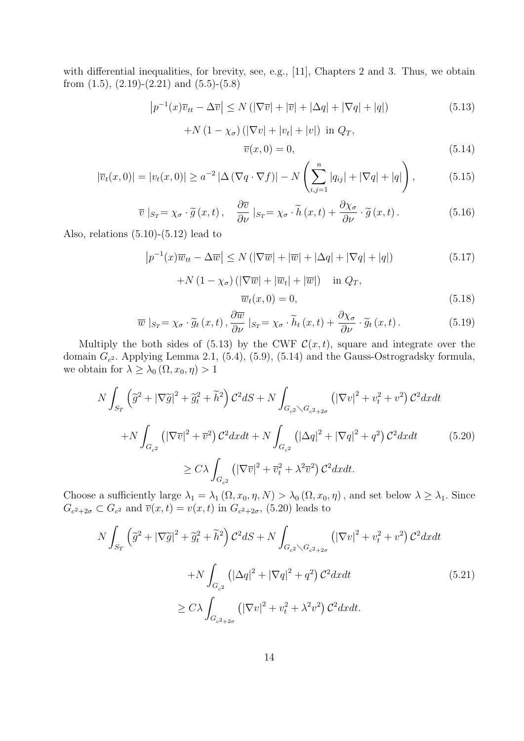with differential inequalities, for brevity, see, e.g., [11], Chapters 2 and 3. Thus, we obtain from  $(1.5)$ ,  $(2.19)-(2.21)$  and  $(5.5)-(5.8)$ 

$$
\left|p^{-1}(x)\overline{v}_{tt} - \Delta \overline{v}\right| \le N\left(\left|\nabla \overline{v}\right| + \left|\overline{v}\right| + \left|\Delta q\right| + \left|\nabla q\right| + \left|q\right|\right) \tag{5.13}
$$

$$
+N\left(1-\chi_{\sigma}\right)\left(\left|\nabla v\right|+\left|v_{t}\right|+\left|v\right|\right)\ \text{in }Q_{T},
$$

$$
\overline{v}(x,0) = 0,\t\t(5.14)
$$

$$
|\overline{v}_t(x,0)| = |v_t(x,0)| \ge a^{-2} |\Delta (\nabla q \cdot \nabla f)| - N \left(\sum_{i,j=1}^n |q_{ij}| + |\nabla q| + |q|\right),\tag{5.15}
$$

$$
\overline{v}|_{S_T} = \chi_{\sigma} \cdot \widetilde{g}(x,t), \quad \frac{\partial \overline{v}}{\partial \nu}|_{S_T} = \chi_{\sigma} \cdot \widetilde{h}(x,t) + \frac{\partial \chi_{\sigma}}{\partial \nu} \cdot \widetilde{g}(x,t).
$$
 (5.16)

Also, relations  $(5.10)-(5.12)$  lead to

$$
\left| p^{-1}(x)\overline{w}_{tt} - \Delta \overline{w} \right| \le N \left( \left| \nabla \overline{w} \right| + \left| \overline{w} \right| + \left| \Delta q \right| + \left| \nabla q \right| + \left| q \right| \right) \tag{5.17}
$$

$$
+N\left(1-\chi_{\sigma}\right)\left(\left|\nabla\overline{w}\right|+\left|\overline{w}_t\right|+\left|\overline{w}\right|\right) \quad \text{in } Q_T,
$$
  

$$
\overline{w}_t(x,0)=0,
$$
 (5.18)

$$
\overline{w}|_{S_T} = \chi_{\sigma} \cdot \widetilde{g}_t(x, t), \frac{\partial \overline{w}}{\partial \nu}|_{S_T} = \chi_{\sigma} \cdot \widetilde{h}_t(x, t) + \frac{\partial \chi_{\sigma}}{\partial \nu} \cdot \widetilde{g}_t(x, t).
$$
\n(5.19)

Multiply the both sides of (5.13) by the CWF  $\mathcal{C}(x,t)$ , square and integrate over the domain  $G_{c^2}$ . Applying Lemma 2.1, (5.4), (5.9), (5.14) and the Gauss-Ostrogradsky formula, we obtain for  $\lambda \geq \lambda_0 (\Omega, x_0, \eta) > 1$ 

$$
N \int_{S_T} \left(\tilde{g}^2 + |\nabla \tilde{g}|^2 + \tilde{g}_t^2 + \tilde{h}^2\right) \mathcal{C}^2 dS + N \int_{G_{c^2} \setminus G_{c^2 + 2\sigma}} \left(|\nabla v|^2 + v_t^2 + v^2\right) \mathcal{C}^2 dxdt
$$
  
+
$$
N \int_{G_{c^2}} \left(|\nabla \overline{v}|^2 + \overline{v}^2\right) \mathcal{C}^2 dxdt + N \int_{G_{c^2}} \left(|\Delta q|^2 + |\nabla q|^2 + q^2\right) \mathcal{C}^2 dxdt \qquad (5.20)
$$
  

$$
\geq C\lambda \int_{G_{c^2}} \left(|\nabla \overline{v}|^2 + \overline{v}_t^2 + \lambda^2 \overline{v}^2\right) \mathcal{C}^2 dxdt.
$$

Choose a sufficiently large  $\lambda_1 = \lambda_1 (\Omega, x_0, \eta, N) > \lambda_0 (\Omega, x_0, \eta)$ , and set below  $\lambda \geq \lambda_1$ . Since  $G_{c^2+2\sigma} \subset G_{c^2}$  and  $\overline{v}(x,t) = v(x,t)$  in  $G_{c^2+2\sigma}$ , (5.20) leads to

$$
N \int_{S_T} \left(\tilde{g}^2 + |\nabla \tilde{g}|^2 + \tilde{g}_t^2 + \tilde{h}^2\right) \mathcal{C}^2 dS + N \int_{G_{c^2} \setminus G_{c^2 + 2\sigma}} \left(|\nabla v|^2 + v_t^2 + v^2\right) \mathcal{C}^2 dxdt
$$
  
+
$$
N \int_{G_{c^2}} \left(|\Delta q|^2 + |\nabla q|^2 + q^2\right) \mathcal{C}^2 dxdt
$$
  

$$
\geq C\lambda \int_{G_{c^2 + 2\sigma}} \left(|\nabla v|^2 + v_t^2 + \lambda^2 v^2\right) \mathcal{C}^2 dxdt.
$$
 (5.21)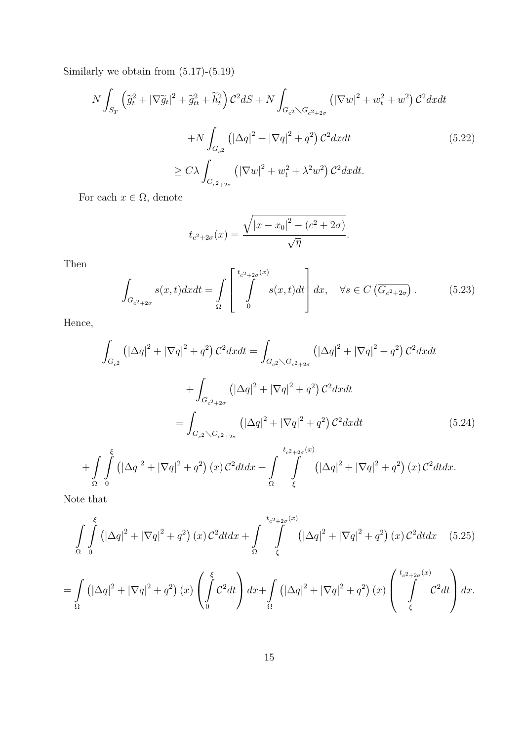Similarly we obtain from (5.17)-(5.19)

$$
N \int_{S_T} \left(\tilde{g}_t^2 + |\nabla \tilde{g}_t|^2 + \tilde{g}_{tt}^2 + \tilde{h}_t^2\right) \mathcal{C}^2 dS + N \int_{G_{c^2} \setminus G_{c^2+2\sigma}} \left(|\nabla w|^2 + w_t^2 + w^2\right) \mathcal{C}^2 dx dt
$$
  
+
$$
N \int_{G_{c^2}} \left(|\Delta q|^2 + |\nabla q|^2 + q^2\right) \mathcal{C}^2 dx dt
$$
  

$$
\geq C\lambda \int_{G_{c^2+2\sigma}} \left(|\nabla w|^2 + w_t^2 + \lambda^2 w^2\right) \mathcal{C}^2 dx dt.
$$
 (5.22)

For each  $x \in \Omega$ , denote

$$
t_{c^2+2\sigma}(x) = \frac{\sqrt{|x-x_0|^2 - (c^2 + 2\sigma)}}{\sqrt{\eta}}.
$$

Then

$$
\int_{G_{c^2+2\sigma}} s(x,t)dxdt = \int_{\Omega} \left[ \int_{0}^{t_{c^2+2\sigma}(x)} s(x,t)dt \right] dx, \quad \forall s \in C \left( \overline{G_{c^2+2\sigma}} \right). \tag{5.23}
$$

Hence,

$$
\int_{G_{c^2}} \left( |\Delta q|^2 + |\nabla q|^2 + q^2 \right) C^2 dx dt = \int_{G_{c^2} \setminus G_{c^2+2\sigma}} \left( |\Delta q|^2 + |\nabla q|^2 + q^2 \right) C^2 dx dt
$$
\n
$$
+ \int_{G_{c^2+2\sigma}} \left( |\Delta q|^2 + |\nabla q|^2 + q^2 \right) C^2 dx dt
$$
\n
$$
= \int_{G_{c^2} \setminus G_{c^2+2\sigma}} \left( |\Delta q|^2 + |\nabla q|^2 + q^2 \right) C^2 dx dt \qquad (5.24)
$$
\n
$$
+ \int_{\Omega} \int_{0}^{\xi} \left( |\Delta q|^2 + |\nabla q|^2 + q^2 \right) (x) C^2 dt dx + \int_{\Omega} \int_{\xi}^{t_{c^2+2\sigma}(x)} \left( |\Delta q|^2 + |\nabla q|^2 + q^2 \right) (x) C^2 dt dx.
$$

Note that

$$
\int_{\Omega} \int_{0}^{\xi} \left( |\Delta q|^{2} + |\nabla q|^{2} + q^{2} \right) (x) \mathcal{C}^{2} dt dx + \int_{\Omega} \int_{\xi}^{t_{c^{2}+2\sigma}(x)} \left( |\Delta q|^{2} + |\nabla q|^{2} + q^{2} \right) (x) \mathcal{C}^{2} dt dx \quad (5.25)
$$
\n
$$
= \int_{\Omega} \left( |\Delta q|^{2} + |\nabla q|^{2} + q^{2} \right) (x) \left( \int_{0}^{\xi} \mathcal{C}^{2} dt \right) dx + \int_{\Omega} \left( |\Delta q|^{2} + |\nabla q|^{2} + q^{2} \right) (x) \left( \int_{\xi}^{t_{c^{2}+2\sigma}(x)} \mathcal{C}^{2} dt \right) dx.
$$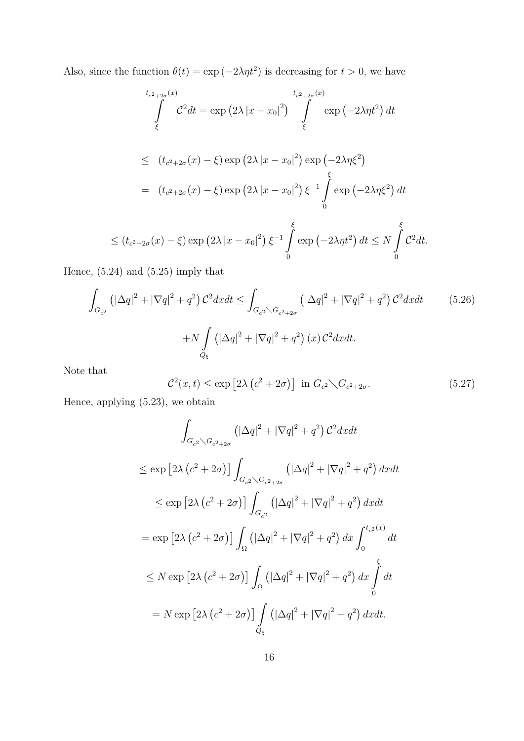Also, since the function  $\theta(t) = \exp(-2\lambda \eta t^2)$  is decreasing for  $t > 0$ , we have

$$
t_{c^2+2\sigma}(x)
$$
  
\n
$$
\int_{\xi}^{t_{c^2+2\sigma}(x)} C^2 dt = \exp(2\lambda |x - x_0|^2) \int_{\xi}^{t_{c^2+2\sigma}(x)} \exp(-2\lambda \eta t^2) dt
$$
  
\n
$$
\leq (t_{c^2+2\sigma}(x) - \xi) \exp(2\lambda |x - x_0|^2) \exp(-2\lambda \eta \xi^2)
$$
  
\n
$$
= (t_{c^2+2\sigma}(x) - \xi) \exp(2\lambda |x - x_0|^2) \xi^{-1} \int_{0}^{\xi} \exp(-2\lambda \eta \xi^2) dt
$$
  
\n
$$
\leq (t_{c^2+2\sigma}(x) - \xi) \exp(2\lambda |x - x_0|^2) \xi^{-1} \int_{0}^{\xi} \exp(-2\lambda \eta t^2) dt \leq N \int_{0}^{\xi} C^2 dt.
$$

Hence, (5.24) and (5.25) imply that

$$
\int_{G_{c^2}} \left( |\Delta q|^2 + |\nabla q|^2 + q^2 \right) \mathcal{C}^2 dx dt \le \int_{G_{c^2} \setminus G_{c^2 + 2\sigma}} \left( |\Delta q|^2 + |\nabla q|^2 + q^2 \right) \mathcal{C}^2 dx dt \qquad (5.26)
$$
\n
$$
+ N \int_{Q_{\xi}} \left( |\Delta q|^2 + |\nabla q|^2 + q^2 \right) (x) \mathcal{C}^2 dx dt.
$$

Note that

$$
\mathcal{C}^2(x,t) \le \exp\left[2\lambda \left(c^2 + 2\sigma\right)\right] \text{ in } G_{c^2} \diagdown G_{c^2 + 2\sigma}.
$$
 (5.27)

Hence, applying (5.23), we obtain

$$
\int_{G_{c^2}\setminus G_{c^2+2\sigma}} \left( |\Delta q|^2 + |\nabla q|^2 + q^2 \right) C^2 dx dt
$$
\n
$$
\leq \exp \left[ 2\lambda \left( c^2 + 2\sigma \right) \right] \int_{G_{c^2}\setminus G_{c^2+2\sigma}} \left( |\Delta q|^2 + |\nabla q|^2 + q^2 \right) dx dt
$$
\n
$$
\leq \exp \left[ 2\lambda \left( c^2 + 2\sigma \right) \right] \int_{G_{c^2}} \left( |\Delta q|^2 + |\nabla q|^2 + q^2 \right) dx dt
$$
\n
$$
= \exp \left[ 2\lambda \left( c^2 + 2\sigma \right) \right] \int_{\Omega} \left( |\Delta q|^2 + |\nabla q|^2 + q^2 \right) dx \int_0^{t_{c^2}(x)} dt
$$
\n
$$
\leq N \exp \left[ 2\lambda \left( c^2 + 2\sigma \right) \right] \int_{\Omega} \left( |\Delta q|^2 + |\nabla q|^2 + q^2 \right) dx \int_0^{\xi} dt
$$
\n
$$
= N \exp \left[ 2\lambda \left( c^2 + 2\sigma \right) \right] \int_{Q_{\xi}} \left( |\Delta q|^2 + |\nabla q|^2 + q^2 \right) dx dt.
$$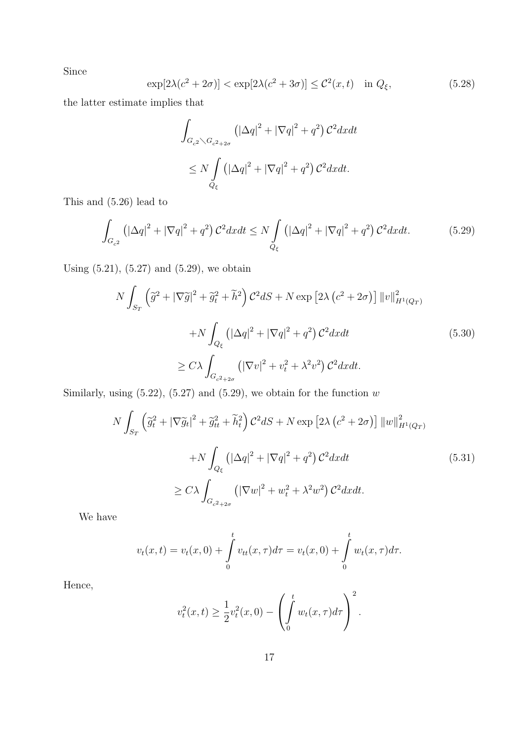Since

$$
\exp[2\lambda(c^2+2\sigma)] < \exp[2\lambda(c^2+3\sigma)] \leq C^2(x,t) \quad \text{in } Q_\xi,\tag{5.28}
$$

the latter estimate implies that

$$
\int_{G_{c^2} \setminus G_{c^2+2\sigma}} \left( |\Delta q|^2 + |\nabla q|^2 + q^2 \right) C^2 dx dt
$$
  

$$
\leq N \int_{Q_{\xi}} \left( |\Delta q|^2 + |\nabla q|^2 + q^2 \right) C^2 dx dt.
$$

This and (5.26) lead to

$$
\int_{G_{c^2}} \left( |\Delta q|^2 + |\nabla q|^2 + q^2 \right) \mathcal{C}^2 dx dt \le N \int_{Q_{\xi}} \left( |\Delta q|^2 + |\nabla q|^2 + q^2 \right) \mathcal{C}^2 dx dt. \tag{5.29}
$$

Using (5.21), (5.27) and (5.29), we obtain

$$
N \int_{S_T} \left( \tilde{g}^2 + |\nabla \tilde{g}|^2 + \tilde{g}_t^2 + \tilde{h}^2 \right) \mathcal{C}^2 dS + N \exp \left[ 2\lambda \left( c^2 + 2\sigma \right) \right] ||v||_{H^1(Q_T)}^2
$$
  
+
$$
N \int_{Q_\xi} \left( |\Delta q|^2 + |\nabla q|^2 + q^2 \right) \mathcal{C}^2 dx dt
$$
  

$$
\geq C\lambda \int_{G_{c^2+2\sigma}} \left( |\nabla v|^2 + v_t^2 + \lambda^2 v^2 \right) \mathcal{C}^2 dx dt.
$$
 (5.30)

Similarly, using  $(5.22)$ ,  $(5.27)$  and  $(5.29)$ , we obtain for the function w

$$
N \int_{S_T} \left( \tilde{g}_t^2 + |\nabla \tilde{g}_t|^2 + \tilde{g}_{tt}^2 + \tilde{h}_t^2 \right) \mathcal{C}^2 dS + N \exp \left[ 2\lambda \left( c^2 + 2\sigma \right) \right] \|w\|_{H^1(Q_T)}^2
$$
  
+
$$
N \int_{Q_\xi} \left( |\Delta q|^2 + |\nabla q|^2 + q^2 \right) \mathcal{C}^2 dx dt
$$
  

$$
\geq C\lambda \int_{G_{c^2+2\sigma}} \left( |\nabla w|^2 + w_t^2 + \lambda^2 w^2 \right) \mathcal{C}^2 dx dt.
$$
 (5.31)

We have

$$
v_t(x,t) = v_t(x,0) + \int_0^t v_{tt}(x,\tau)d\tau = v_t(x,0) + \int_0^t w_t(x,\tau)d\tau.
$$

Hence,

$$
v_t^2(x,t) \ge \frac{1}{2}v_t^2(x,0) - \left(\int_0^t w_t(x,\tau)d\tau\right)^2.
$$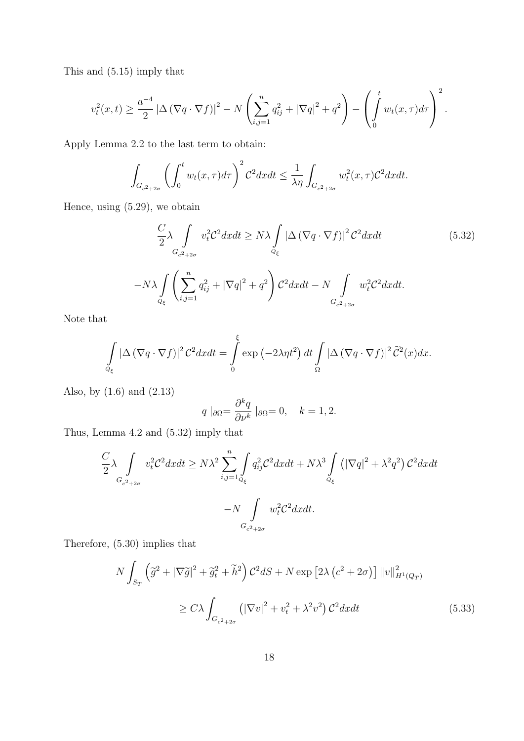This and (5.15) imply that

$$
v_t^2(x,t) \ge \frac{a^{-4}}{2} |\Delta (\nabla q \cdot \nabla f)|^2 - N \left( \sum_{i,j=1}^n q_{ij}^2 + |\nabla q|^2 + q^2 \right) - \left( \int_0^t w_t(x,\tau) d\tau \right)^2.
$$

Apply Lemma 2.2 to the last term to obtain:

$$
\int_{G_{c^2+2\sigma}} \left(\int_0^t w_t(x,\tau)d\tau\right)^2 \mathcal{C}^2 dxdt \le \frac{1}{\lambda \eta} \int_{G_{c^2+2\sigma}} w_t^2(x,\tau) \mathcal{C}^2 dxdt.
$$

Hence, using (5.29), we obtain

$$
\frac{C}{2}\lambda \int_{G_{c^2+2\sigma}} v_t^2 C^2 dx dt \ge N\lambda \int_{Q_{\xi}} |\Delta (\nabla q \cdot \nabla f)|^2 C^2 dx dt
$$
\n
$$
-N\lambda \int_{Q_{\xi}} \left(\sum_{i,j=1}^n q_{ij}^2 + |\nabla q|^2 + q^2\right) C^2 dx dt - N \int_{G_{c^2+2\sigma}} w_t^2 C^2 dx dt.
$$
\n(5.32)

Note that

$$
\int_{Q_{\xi}} |\Delta (\nabla q \cdot \nabla f)|^2 C^2 dxdt = \int_{0}^{\xi} \exp (-2\lambda \eta t^2) dt \int_{\Omega} |\Delta (\nabla q \cdot \nabla f)|^2 \widetilde{C}^2(x) dx.
$$

Also, by (1.6) and (2.13)

$$
q \mid_{\partial \Omega} = \frac{\partial^k q}{\partial \nu^k} \mid_{\partial \Omega} = 0, \quad k = 1, 2.
$$

Thus, Lemma 4.2 and (5.32) imply that

$$
\frac{C}{2}\lambda \int_{G_{c^2+2\sigma}} v_t^2 C^2 dx dt \ge N\lambda^2 \sum_{i,j=1}^n \int_{Q_\xi} q_{ij}^2 C^2 dx dt + N\lambda^3 \int_{Q_\xi} \left( |\nabla q|^2 + \lambda^2 q^2 \right) C^2 dx dt
$$

$$
-N \int_{G_{c^2+2\sigma}} w_t^2 C^2 dx dt.
$$

Therefore, (5.30) implies that

$$
N \int_{S_T} \left( \tilde{g}^2 + |\nabla \tilde{g}|^2 + \tilde{g}_t^2 + \tilde{h}^2 \right) C^2 dS + N \exp \left[ 2\lambda \left( c^2 + 2\sigma \right) \right] ||v||_{H^1(Q_T)}^2
$$
  

$$
\geq C\lambda \int_{G_{c^2 + 2\sigma}} \left( |\nabla v|^2 + v_t^2 + \lambda^2 v^2 \right) C^2 dx dt \tag{5.33}
$$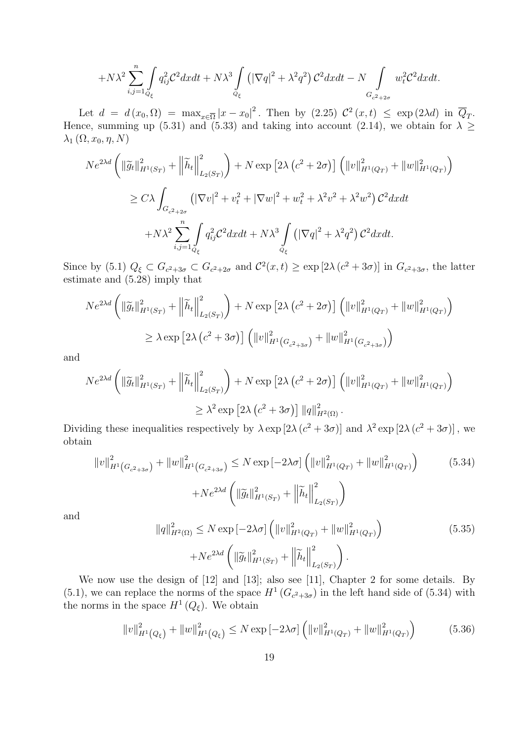$$
+N\lambda^2\sum_{i,j=1}^n\int\limits_{Q_\xi}q_{ij}^2\mathcal{C}^2dxdt+N\lambda^3\int\limits_{Q_\xi}\left(|\nabla q|^2+\lambda^2q^2\right)\mathcal{C}^2dxdt-N\int\limits_{G_{c^2+2\sigma}}w_t^2\mathcal{C}^2dxdt.
$$

Let  $d = d(x_0, \Omega) = \max_{x \in \overline{\Omega}} |x - x_0|^2$ . Then by  $(2.25) \mathcal{C}^2(x, t) \leq \exp(2\lambda d)$  in  $\overline{Q}_T$ . Hence, summing up (5.31) and (5.33) and taking into account (2.14), we obtain for  $\lambda \geq$  $\lambda_1$   $(\Omega, x_0, \eta, N)$ 

$$
Ne^{2\lambda d} \left( \|\widetilde{g}_t\|_{H^1(S_T)}^2 + \left\|\widetilde{h}_t\right\|_{L_2(S_T)}^2 \right) + N \exp \left[2\lambda \left(c^2 + 2\sigma\right) \right] \left( \|v\|_{H^1(Q_T)}^2 + \|w\|_{H^1(Q_T)}^2 \right)
$$
  
\n
$$
\geq C\lambda \int_{G_{c^2+2\sigma}} \left( |\nabla v|^2 + v_t^2 + |\nabla w|^2 + w_t^2 + \lambda^2 v^2 + \lambda^2 w^2 \right) C^2 dx dt
$$
  
\n
$$
+ N\lambda^2 \sum_{i,j=1}^n \int_{Q_\xi} q_{ij}^2 C^2 dx dt + N\lambda^3 \int_{Q_\xi} \left( |\nabla q|^2 + \lambda^2 q^2 \right) C^2 dx dt.
$$

Since by (5.1)  $Q_{\xi} \subset G_{c^2+3\sigma} \subset G_{c^2+2\sigma}$  and  $\mathcal{C}^2(x,t) \geq \exp[2\lambda(c^2+3\sigma)]$  in  $G_{c^2+3\sigma}$ , the latter estimate and (5.28) imply that

$$
Ne^{2\lambda d} \left( \|\widetilde{g}_t\|_{H^1(S_T)}^2 + \left\|\widetilde{h}_t\right\|_{L_2(S_T)}^2 \right) + N \exp \left[2\lambda \left(c^2 + 2\sigma\right) \right] \left( \|v\|_{H^1(Q_T)}^2 + \|w\|_{H^1(Q_T)}^2 \right)
$$
  

$$
\geq \lambda \exp \left[2\lambda \left(c^2 + 3\sigma\right) \right] \left( \|v\|_{H^1(G_{c^2 + 3\sigma})}^2 + \|w\|_{H^1(G_{c^2 + 3\sigma})}^2 \right)
$$

and

$$
Ne^{2\lambda d} \left( \|\widetilde{g}_t\|_{H^1(S_T)}^2 + \left\|\widetilde{h}_t\right\|_{L_2(S_T)}^2 \right) + N \exp \left[2\lambda \left(c^2 + 2\sigma\right) \right] \left( \|v\|_{H^1(Q_T)}^2 + \|w\|_{H^1(Q_T)}^2 \right)
$$
  

$$
\geq \lambda^2 \exp \left[2\lambda \left(c^2 + 3\sigma\right) \right] \|q\|_{H^2(\Omega)}^2.
$$

Dividing these inequalities respectively by  $\lambda \exp[2\lambda (c^2 + 3\sigma)]$  and  $\lambda^2 \exp[2\lambda (c^2 + 3\sigma)]$ , we obtain

$$
||v||_{H^{1}(G_{c^{2}+3\sigma})}^{2} + ||w||_{H^{1}(G_{c^{2}+3\sigma})}^{2} \leq N \exp\left[-2\lambda\sigma\right] \left(||v||_{H^{1}(Q_{T})}^{2} + ||w||_{H^{1}(Q_{T})}^{2}\right)
$$
(5.34)  
+
$$
N e^{2\lambda d} \left(||\widetilde{g}_{t}||_{H^{1}(S_{T})}^{2} + ||\widetilde{h}_{t}||_{L_{2}(S_{T})}^{2}\right)
$$

and

$$
||q||_{H^{2}(\Omega)}^{2} \leq N \exp[-2\lambda\sigma] \left( ||v||_{H^{1}(Q_{T})}^{2} + ||w||_{H^{1}(Q_{T})}^{2} \right)
$$
\n
$$
+ Ne^{2\lambda d} \left( ||\widetilde{g}_{t}||_{H^{1}(S_{T})}^{2} + ||\widetilde{h}_{t}||_{L_{2}(S_{T})}^{2} \right).
$$
\n(5.35)

We now use the design of [12] and [13]; also see [11], Chapter 2 for some details. By  $(5.1)$ , we can replace the norms of the space  $H^1(G_{c^2+3\sigma})$  in the left hand side of  $(5.34)$  with the norms in the space  $H^1(Q_\xi)$ . We obtain

$$
||v||_{H^{1}(Q_{\xi})}^{2} + ||w||_{H^{1}(Q_{\xi})}^{2} \leq N \exp\left[-2\lambda\sigma\right] \left(||v||_{H^{1}(Q_{T})}^{2} + ||w||_{H^{1}(Q_{T})}^{2}\right) \tag{5.36}
$$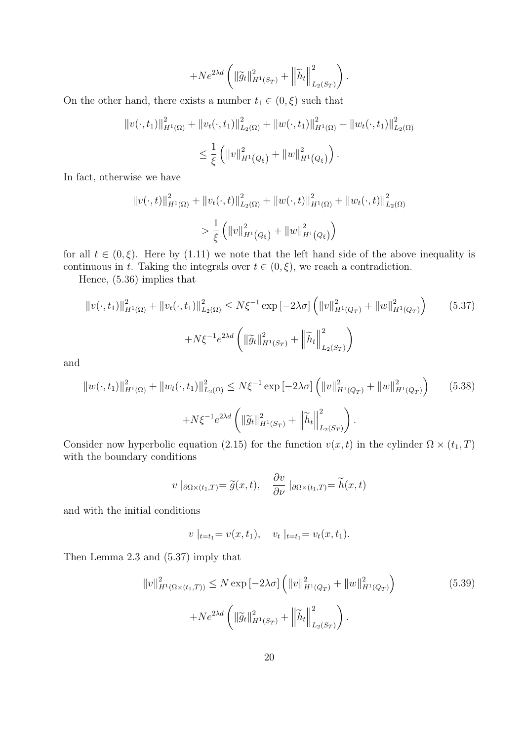$$
+Ne^{2\lambda d}\left(\left\|\widetilde{g}_t\right\|_{H^1(S_T)}^2+\left\|\widetilde{h}_t\right\|_{L_2(S_T)}^2\right).
$$

On the other hand, there exists a number  $t_1 \in (0, \xi)$  such that

$$
||v(\cdot, t_1)||_{H^1(\Omega)}^2 + ||v_t(\cdot, t_1)||_{L_2(\Omega)}^2 + ||w(\cdot, t_1)||_{H^1(\Omega)}^2 + ||w_t(\cdot, t_1)||_{L_2(\Omega)}^2
$$
  

$$
\leq \frac{1}{\xi} \left( ||v||_{H^1(Q_{\xi})}^2 + ||w||_{H^1(Q_{\xi})}^2 \right).
$$

In fact, otherwise we have

$$
||v(\cdot,t)||_{H^1(\Omega)}^2 + ||v_t(\cdot,t)||_{L_2(\Omega)}^2 + ||w(\cdot,t)||_{H^1(\Omega)}^2 + ||w_t(\cdot,t)||_{L_2(\Omega)}^2
$$
  

$$
> \frac{1}{\xi} \left( ||v||_{H^1(Q_{\xi})}^2 + ||w||_{H^1(Q_{\xi})}^2 \right)
$$

for all  $t \in (0,\xi)$ . Here by (1.11) we note that the left hand side of the above inequality is continuous in t. Taking the integrals over  $t \in (0, \xi)$ , we reach a contradiction.

Hence, (5.36) implies that

$$
||v(\cdot, t_1)||_{H^1(\Omega)}^2 + ||v_t(\cdot, t_1)||_{L_2(\Omega)}^2 \le N\xi^{-1} \exp\left[-2\lambda\sigma\right] \left(||v||_{H^1(Q_T)}^2 + ||w||_{H^1(Q_T)}^2\right) \tag{5.37}
$$

$$
+ N\xi^{-1} e^{2\lambda d} \left(||\widetilde{g}_t||_{H^1(S_T)}^2 + ||\widetilde{h}_t||_{L_2(S_T)}^2\right)
$$

and

$$
||w(\cdot, t_1)||_{H^1(\Omega)}^2 + ||w_t(\cdot, t_1)||_{L_2(\Omega)}^2 \le N\xi^{-1} \exp\left[-2\lambda\sigma\right] \left(||v||_{H^1(Q_T)}^2 + ||w||_{H^1(Q_T)}^2\right) \tag{5.38}
$$

$$
+ N\xi^{-1} e^{2\lambda d} \left(||\widetilde{g}_t||_{H^1(S_T)}^2 + ||\widetilde{h}_t||_{L_2(S_T)}^2\right).
$$

Consider now hyperbolic equation (2.15) for the function  $v(x, t)$  in the cylinder  $\Omega \times (t_1, T)$ with the boundary conditions

$$
v \mid_{\partial\Omega\times(t_1,T)} = \widetilde{g}(x,t), \quad \frac{\partial v}{\partial \nu} \mid_{\partial\Omega\times(t_1,T)} = \widetilde{h}(x,t)
$$

and with the initial conditions

$$
v \mid_{t=t_1} = v(x, t_1), \quad v_t \mid_{t=t_1} = v_t(x, t_1).
$$

Then Lemma 2.3 and (5.37) imply that

$$
||v||_{H^{1}(\Omega \times (t_1, T))}^{2} \le N \exp[-2\lambda \sigma] \left( ||v||_{H^{1}(Q_{T})}^{2} + ||w||_{H^{1}(Q_{T})}^{2} \right)
$$
(5.39)  
+
$$
N e^{2\lambda d} \left( ||\widetilde{g}_{t}||_{H^{1}(S_{T})}^{2} + ||\widetilde{h}_{t}||_{L_{2}(S_{T})}^{2} \right).
$$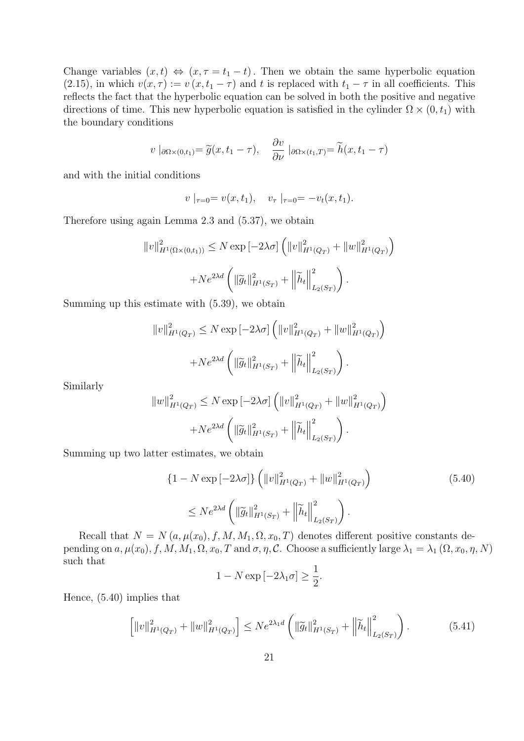Change variables  $(x, t) \Leftrightarrow (x, \tau = t_1 - t)$ . Then we obtain the same hyperbolic equation (2.15), in which  $v(x, \tau) := v(x, t_1 - \tau)$  and t is replaced with  $t_1 - \tau$  in all coefficients. This reflects the fact that the hyperbolic equation can be solved in both the positive and negative directions of time. This new hyperbolic equation is satisfied in the cylinder  $\Omega \times (0, t_1)$  with the boundary conditions

$$
v \mid_{\partial\Omega\times(0,t_1)} = \widetilde{g}(x,t_1-\tau), \quad \frac{\partial v}{\partial\nu} \mid_{\partial\Omega\times(t_1,T)} = \widetilde{h}(x,t_1-\tau)
$$

and with the initial conditions

 $v \mid_{\tau=0} = v(x, t_1), \quad v_{\tau} \mid_{\tau=0} = -v_t(x, t_1).$ 

Therefore using again Lemma 2.3 and (5.37), we obtain

$$
||v||_{H^1(\Omega \times (0,t_1))}^2 \le N \exp \left[-2\lambda \sigma\right] \left(||v||_{H^1(Q_T)}^2 + ||w||_{H^1(Q_T)}^2\right) + N e^{2\lambda d} \left(||\widetilde{g}_t||_{H^1(S_T)}^2 + \left||\widetilde{h}_t||_{L_2(S_T)}^2\right)\right).
$$

Summing up this estimate with (5.39), we obtain

$$
||v||_{H^1(Q_T)}^2 \le N \exp[-2\lambda\sigma] \left( ||v||_{H^1(Q_T)}^2 + ||w||_{H^1(Q_T)}^2 \right)
$$

$$
+ N e^{2\lambda d} \left( ||\widetilde{g}_t||_{H^1(S_T)}^2 + ||\widetilde{h}_t||_{L_2(S_T)}^2 \right).
$$

Similarly

$$
||w||_{H^1(Q_T)}^2 \le N \exp[-2\lambda\sigma] \left( ||v||_{H^1(Q_T)}^2 + ||w||_{H^1(Q_T)}^2 \right)
$$

$$
+ N e^{2\lambda d} \left( ||\widetilde{g}_t||_{H^1(S_T)}^2 + ||\widetilde{h}_t||_{L_2(S_T)}^2 \right).
$$

Summing up two latter estimates, we obtain

$$
\{1 - N \exp[-2\lambda\sigma]\} \left( \|v\|_{H^1(Q_T)}^2 + \|w\|_{H^1(Q_T)}^2 \right)
$$
\n
$$
\leq Ne^{2\lambda d} \left( \|\tilde{g}_t\|_{H^1(S_T)}^2 + \left\|\tilde{h}_t\right\|_{L_2(S_T)}^2 \right).
$$
\n(5.40)

Recall that  $N = N(a, \mu(x_0), f, M, M_1, \Omega, x_0, T)$  denotes different positive constants depending on  $a, \mu(x_0), f, M, M_1, \Omega, x_0, T$  and  $\sigma, \eta, C$ . Choose a sufficiently large  $\lambda_1 = \lambda_1 (\Omega, x_0, \eta, N)$ such that

$$
1 - N \exp[-2\lambda_1 \sigma] \ge \frac{1}{2}.
$$

Hence, (5.40) implies that

$$
\left[ \left\| v \right\|_{H^1(Q_T)}^2 + \left\| w \right\|_{H^1(Q_T)}^2 \right] \leq N e^{2\lambda_1 d} \left( \left\| \tilde{g}_t \right\|_{H^1(S_T)}^2 + \left\| \tilde{h}_t \right\|_{L_2(S_T)}^2 \right). \tag{5.41}
$$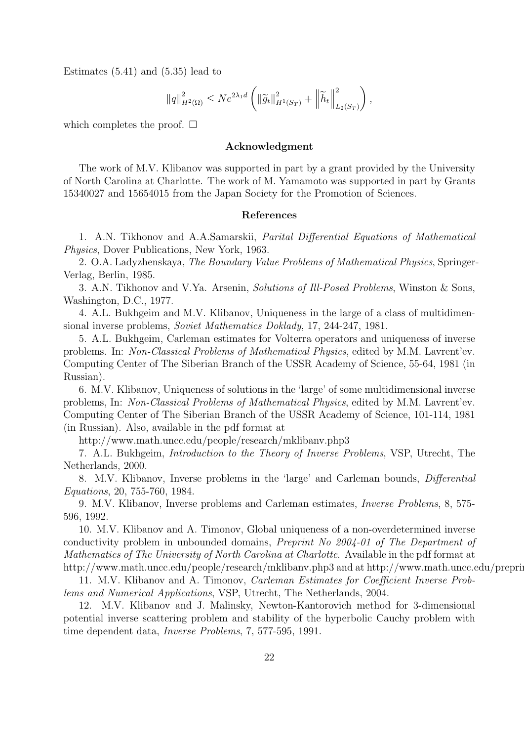Estimates  $(5.41)$  and  $(5.35)$  lead to

$$
||q||_{H^{2}(\Omega)}^{2} \leq Ne^{2\lambda_{1}d} \left( ||\widetilde{g}_{t}||_{H^{1}(S_{T})}^{2} + ||\widetilde{h}_{t}||_{L_{2}(S_{T})}^{2} \right),
$$

which completes the proof.  $\square$ 

#### Acknowledgment

The work of M.V. Klibanov was supported in part by a grant provided by the University of North Carolina at Charlotte. The work of M. Yamamoto was supported in part by Grants 15340027 and 15654015 from the Japan Society for the Promotion of Sciences.

#### References

1. A.N. Tikhonov and A.A.Samarskii, Parital Differential Equations of Mathematical Physics, Dover Publications, New York, 1963.

2. O.A. Ladyzhenskaya, The Boundary Value Problems of Mathematical Physics, Springer-Verlag, Berlin, 1985.

3. A.N. Tikhonov and V.Ya. Arsenin, Solutions of Ill-Posed Problems, Winston & Sons, Washington, D.C., 1977.

4. A.L. Bukhgeim and M.V. Klibanov, Uniqueness in the large of a class of multidimensional inverse problems, Soviet Mathematics Doklady, 17, 244-247, 1981.

5. A.L. Bukhgeim, Carleman estimates for Volterra operators and uniqueness of inverse problems. In: Non-Classical Problems of Mathematical Physics, edited by M.M. Lavrent'ev. Computing Center of The Siberian Branch of the USSR Academy of Science, 55-64, 1981 (in Russian).

6. M.V. Klibanov, Uniqueness of solutions in the 'large' of some multidimensional inverse problems, In: Non-Classical Problems of Mathematical Physics, edited by M.M. Lavrent'ev. Computing Center of The Siberian Branch of the USSR Academy of Science, 101-114, 1981 (in Russian). Also, available in the pdf format at

http://www.math.uncc.edu/people/research/mklibanv.php3

7. A.L. Bukhgeim, Introduction to the Theory of Inverse Problems, VSP, Utrecht, The Netherlands, 2000.

8. M.V. Klibanov, Inverse problems in the 'large' and Carleman bounds, Differential Equations, 20, 755-760, 1984.

9. M.V. Klibanov, Inverse problems and Carleman estimates, Inverse Problems, 8, 575- 596, 1992.

10. M.V. Klibanov and A. Timonov, Global uniqueness of a non-overdetermined inverse conductivity problem in unbounded domains, Preprint No 2004-01 of The Department of Mathematics of The University of North Carolina at Charlotte. Available in the pdf format at http://www.math.uncc.edu/people/research/mklibanv.php3 and at http://www.math.uncc.edu/prepri

11. M.V. Klibanov and A. Timonov, Carleman Estimates for Coefficient Inverse Problems and Numerical Applications, VSP, Utrecht, The Netherlands, 2004.

12. M.V. Klibanov and J. Malinsky, Newton-Kantorovich method for 3-dimensional potential inverse scattering problem and stability of the hyperbolic Cauchy problem with time dependent data, Inverse Problems, 7, 577-595, 1991.